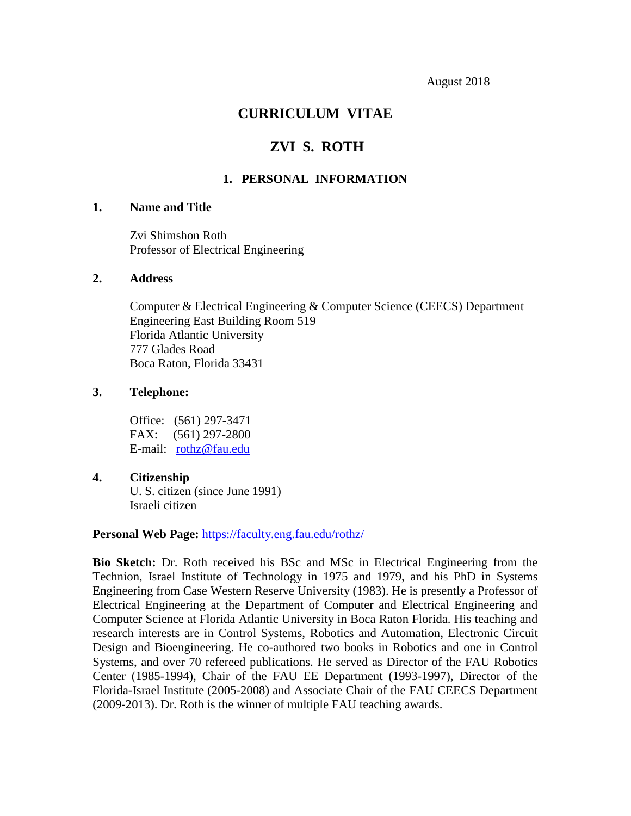# **CURRICULUM VITAE**

# **ZVI S. ROTH**

## **1. PERSONAL INFORMATION**

## **1. Name and Title**

Zvi Shimshon Roth Professor of Electrical Engineering

### **2. Address**

Computer & Electrical Engineering & Computer Science (CEECS) Department Engineering East Building Room 519 Florida Atlantic University 777 Glades Road Boca Raton, Florida 33431

#### **3. Telephone:**

Office: (561) 297-3471 FAX: (561) 297-2800 E-mail: [rothz@fau.edu](mailto:rothz@fau.edu)

#### **4. Citizenship**

U. S. citizen (since June 1991) Israeli citizen

#### **Personal Web Page:** <https://faculty.eng.fau.edu/rothz/>

**Bio Sketch:** Dr. Roth received his BSc and MSc in Electrical Engineering from the Technion, Israel Institute of Technology in 1975 and 1979, and his PhD in Systems Engineering from Case Western Reserve University (1983). He is presently a Professor of Electrical Engineering at the Department of Computer and Electrical Engineering and Computer Science at Florida Atlantic University in Boca Raton Florida. His teaching and research interests are in Control Systems, Robotics and Automation, Electronic Circuit Design and Bioengineering. He co-authored two books in Robotics and one in Control Systems, and over 70 refereed publications. He served as Director of the FAU Robotics Center (1985-1994), Chair of the FAU EE Department (1993-1997), Director of the Florida-Israel Institute (2005-2008) and Associate Chair of the FAU CEECS Department (2009-2013). Dr. Roth is the winner of multiple FAU teaching awards.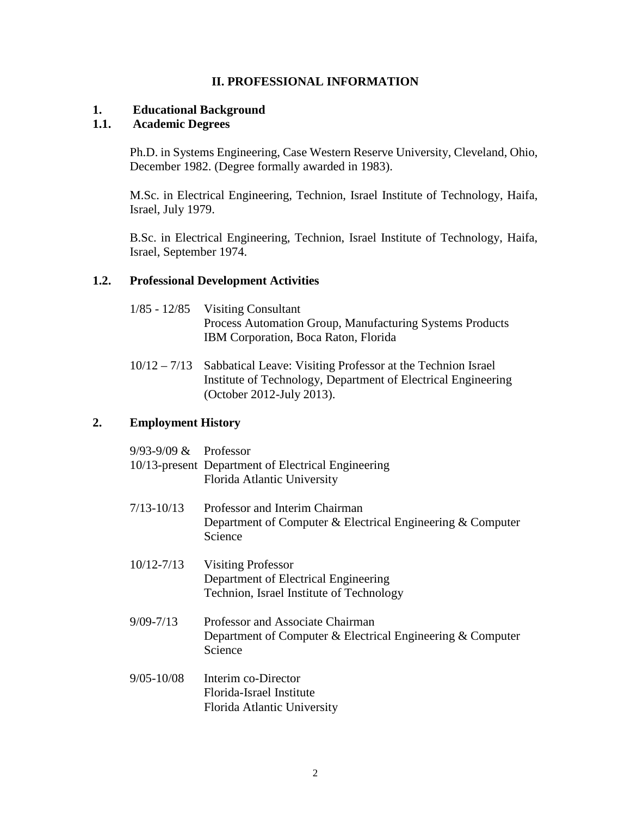## **II. PROFESSIONAL INFORMATION**

### **1. Educational Background**

## **1.1. Academic Degrees**

Ph.D. in Systems Engineering, Case Western Reserve University, Cleveland, Ohio, December 1982. (Degree formally awarded in 1983).

M.Sc. in Electrical Engineering, Technion, Israel Institute of Technology, Haifa, Israel, July 1979.

B.Sc. in Electrical Engineering, Technion, Israel Institute of Technology, Haifa, Israel, September 1974.

### **1.2. Professional Development Activities**

| $1/85 - 12/85$ Visiting Consultant                       |
|----------------------------------------------------------|
| Process Automation Group, Manufacturing Systems Products |
| IBM Corporation, Boca Raton, Florida                     |

10/12 – 7/13 Sabbatical Leave: Visiting Professor at the Technion Israel Institute of Technology, Department of Electrical Engineering (October 2012-July 2013).

# **2. Employment History**

| $9/93-9/09$ & Professor | 10/13-present Department of Electrical Engineering<br>Florida Atlantic University                             |
|-------------------------|---------------------------------------------------------------------------------------------------------------|
| $7/13 - 10/13$          | Professor and Interim Chairman<br>Department of Computer & Electrical Engineering & Computer<br>Science       |
| $10/12 - 7/13$          | <b>Visiting Professor</b><br>Department of Electrical Engineering<br>Technion, Israel Institute of Technology |
| $9/09 - 7/13$           | Professor and Associate Chairman<br>Department of Computer & Electrical Engineering & Computer<br>Science     |
| $9/05 - 10/08$          | Interim co-Director<br>Florida-Israel Institute<br>Florida Atlantic University                                |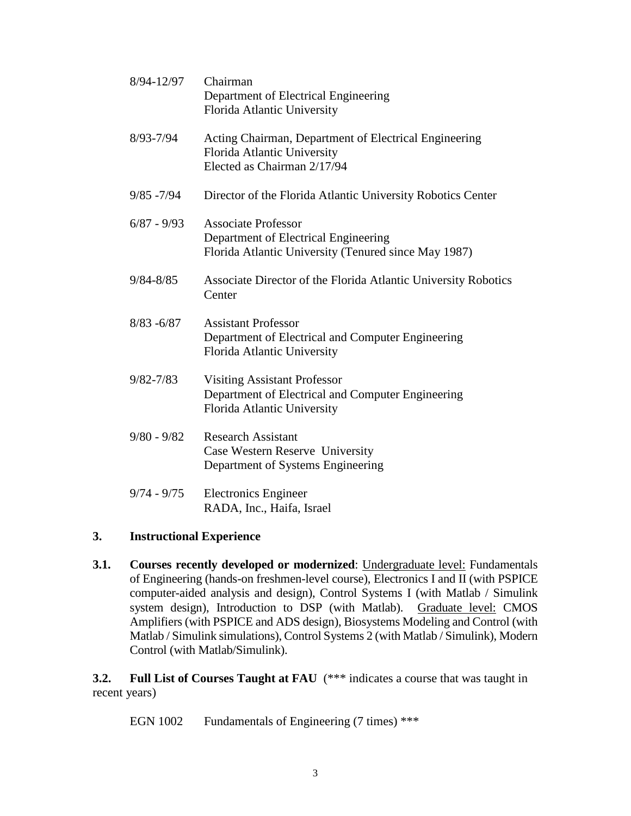| 8/94-12/97    | Chairman<br>Department of Electrical Engineering<br>Florida Atlantic University                                            |
|---------------|----------------------------------------------------------------------------------------------------------------------------|
| $8/93 - 7/94$ | Acting Chairman, Department of Electrical Engineering<br>Florida Atlantic University<br>Elected as Chairman 2/17/94        |
| $9/85 - 7/94$ | Director of the Florida Atlantic University Robotics Center                                                                |
| $6/87 - 9/93$ | <b>Associate Professor</b><br>Department of Electrical Engineering<br>Florida Atlantic University (Tenured since May 1987) |
| $9/84 - 8/85$ | Associate Director of the Florida Atlantic University Robotics<br>Center                                                   |
| $8/83 - 6/87$ | <b>Assistant Professor</b><br>Department of Electrical and Computer Engineering<br>Florida Atlantic University             |
| $9/82 - 7/83$ | <b>Visiting Assistant Professor</b><br>Department of Electrical and Computer Engineering<br>Florida Atlantic University    |
| $9/80 - 9/82$ | <b>Research Assistant</b><br>Case Western Reserve University<br>Department of Systems Engineering                          |
| $9/74 - 9/75$ | <b>Electronics Engineer</b><br>RADA, Inc., Haifa, Israel                                                                   |

### **3. Instructional Experience**

**3.1. Courses recently developed or modernized**: Undergraduate level: Fundamentals of Engineering (hands-on freshmen-level course), Electronics I and II (with PSPICE computer-aided analysis and design), Control Systems I (with Matlab / Simulink system design), Introduction to DSP (with Matlab). Graduate level: CMOS Amplifiers (with PSPICE and ADS design), Biosystems Modeling and Control (with Matlab / Simulink simulations), Control Systems 2 (with Matlab / Simulink), Modern Control (with Matlab/Simulink).

**3.2. Full List of Courses Taught at FAU** (\*\*\* indicates a course that was taught in recent years)

EGN 1002 Fundamentals of Engineering (7 times) \*\*\*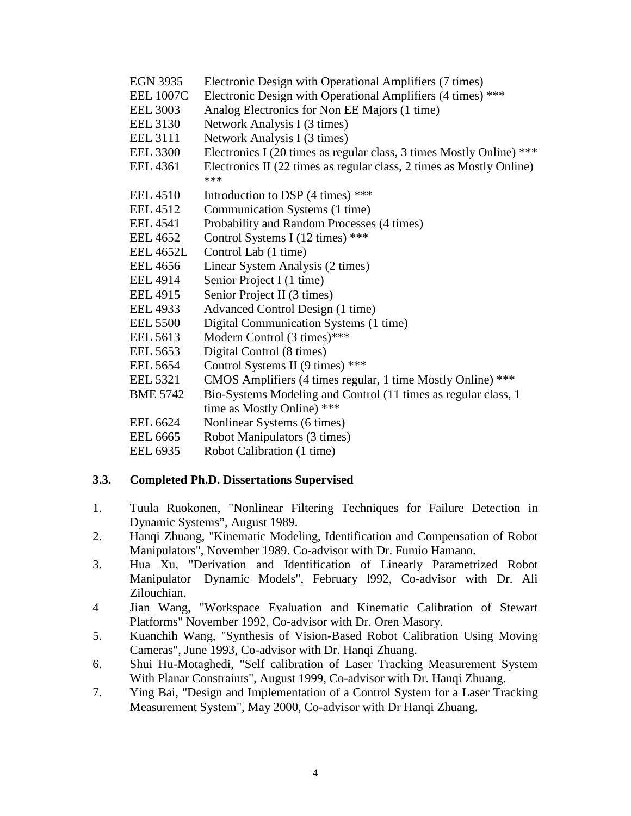- EGN 3935 Electronic Design with Operational Amplifiers (7 times)
- EEL 1007C Electronic Design with Operational Amplifiers (4 times) \*\*\*
- EEL 3003 Analog Electronics for Non EE Majors (1 time)
- EEL 3130 Network Analysis I (3 times)
- EEL 3111 Network Analysis I (3 times)
- EEL 3300 Electronics I (20 times as regular class, 3 times Mostly Online) \*\*\*
- EEL 4361 Electronics II (22 times as regular class, 2 times as Mostly Online) \*\*\*
- EEL 4510 Introduction to DSP  $(4 \text{ times})$ \*\*\*
- EEL 4512 Communication Systems (1 time)
- EEL 4541 Probability and Random Processes (4 times)
- EEL 4652 Control Systems I (12 times) \*\*\*
- EEL 4652L Control Lab (1 time)
- EEL 4656 Linear System Analysis (2 times)
- EEL 4914 Senior Project I (1 time)
- EEL 4915 Senior Project II (3 times)
- EEL 4933 Advanced Control Design (1 time)
- EEL 5500 Digital Communication Systems (1 time)
- EEL 5613 Modern Control (3 times)\*\*\*
- EEL 5653 Digital Control (8 times)
- EEL 5654 Control Systems II (9 times) \*\*\*
- EEL 5321 CMOS Amplifiers (4 times regular, 1 time Mostly Online) \*\*\*
- BME 5742 Bio-Systems Modeling and Control (11 times as regular class, 1 time as Mostly Online) \*\*\*
- EEL 6624 Nonlinear Systems (6 times)
- EEL 6665 Robot Manipulators (3 times)
- EEL 6935 Robot Calibration (1 time)

# **3.3. Completed Ph.D. Dissertations Supervised**

- 1. Tuula Ruokonen, "Nonlinear Filtering Techniques for Failure Detection in Dynamic Systems", August 1989.
- 2. Hanqi Zhuang, "Kinematic Modeling, Identification and Compensation of Robot Manipulators", November 1989. Co-advisor with Dr. Fumio Hamano.
- 3. Hua Xu, "Derivation and Identification of Linearly Parametrized Robot Manipulator Dynamic Models", February l992, Co-advisor with Dr. Ali Zilouchian.
- 4 Jian Wang, "Workspace Evaluation and Kinematic Calibration of Stewart Platforms" November 1992, Co-advisor with Dr. Oren Masory.
- 5. Kuanchih Wang, "Synthesis of Vision-Based Robot Calibration Using Moving Cameras", June 1993, Co-advisor with Dr. Hanqi Zhuang.
- 6. Shui Hu-Motaghedi, "Self calibration of Laser Tracking Measurement System With Planar Constraints", August 1999, Co-advisor with Dr. Hanqi Zhuang.
- 7. Ying Bai, "Design and Implementation of a Control System for a Laser Tracking Measurement System", May 2000, Co-advisor with Dr Hanqi Zhuang.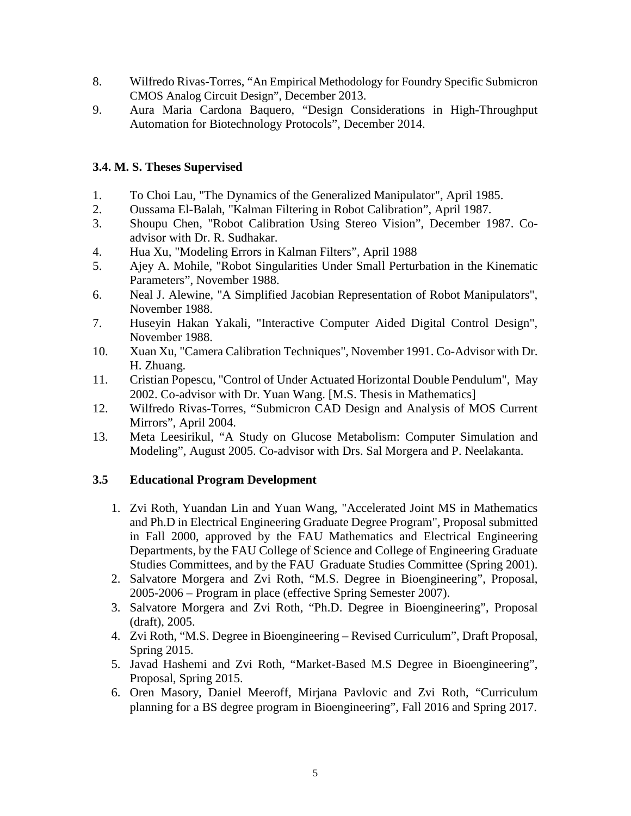- 8. Wilfredo Rivas-Torres, "An Empirical Methodology for Foundry Specific Submicron CMOS Analog Circuit Design", December 2013.
- 9. Aura Maria Cardona Baquero, "Design Considerations in High-Throughput Automation for Biotechnology Protocols", December 2014.

# **3.4. M. S. Theses Supervised**

- 1. To Choi Lau, "The Dynamics of the Generalized Manipulator", April 1985.
- 2. Oussama El-Balah, "Kalman Filtering in Robot Calibration", April 1987.
- 3. Shoupu Chen, "Robot Calibration Using Stereo Vision", December 1987. Coadvisor with Dr. R. Sudhakar.
- 4. Hua Xu, "Modeling Errors in Kalman Filters", April 1988
- 5. Ajey A. Mohile, "Robot Singularities Under Small Perturbation in the Kinematic Parameters", November 1988.
- 6. Neal J. Alewine, "A Simplified Jacobian Representation of Robot Manipulators", November 1988.
- 7. Huseyin Hakan Yakali, "Interactive Computer Aided Digital Control Design", November 1988.
- 10. Xuan Xu, "Camera Calibration Techniques", November 1991. Co-Advisor with Dr. H. Zhuang.
- 11. Cristian Popescu, "Control of Under Actuated Horizontal Double Pendulum", May 2002. Co-advisor with Dr. Yuan Wang. [M.S. Thesis in Mathematics]
- 12. Wilfredo Rivas-Torres, "Submicron CAD Design and Analysis of MOS Current Mirrors", April 2004.
- 13. Meta Leesirikul, "A Study on Glucose Metabolism: Computer Simulation and Modeling", August 2005. Co-advisor with Drs. Sal Morgera and P. Neelakanta.

# **3.5 Educational Program Development**

- 1. Zvi Roth, Yuandan Lin and Yuan Wang, "Accelerated Joint MS in Mathematics and Ph.D in Electrical Engineering Graduate Degree Program", Proposal submitted in Fall 2000, approved by the FAU Mathematics and Electrical Engineering Departments, by the FAU College of Science and College of Engineering Graduate Studies Committees, and by the FAU Graduate Studies Committee (Spring 2001).
- 2. Salvatore Morgera and Zvi Roth, "M.S. Degree in Bioengineering", Proposal, 2005-2006 – Program in place (effective Spring Semester 2007).
- 3. Salvatore Morgera and Zvi Roth, "Ph.D. Degree in Bioengineering", Proposal (draft), 2005.
- 4. Zvi Roth, "M.S. Degree in Bioengineering Revised Curriculum", Draft Proposal, Spring 2015.
- 5. Javad Hashemi and Zvi Roth, "Market-Based M.S Degree in Bioengineering", Proposal, Spring 2015.
- 6. Oren Masory, Daniel Meeroff, Mirjana Pavlovic and Zvi Roth, "Curriculum planning for a BS degree program in Bioengineering", Fall 2016 and Spring 2017.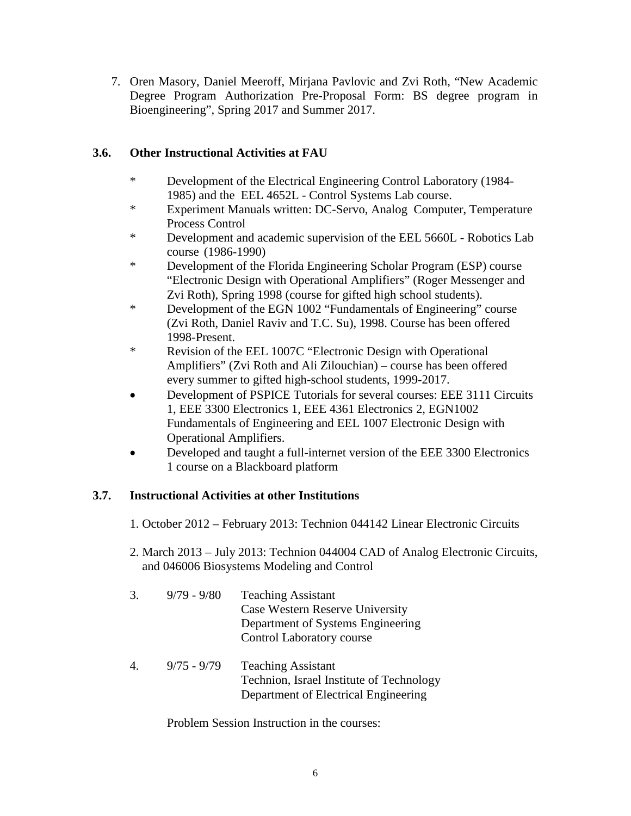7. Oren Masory, Daniel Meeroff, Mirjana Pavlovic and Zvi Roth, "New Academic Degree Program Authorization Pre-Proposal Form: BS degree program in Bioengineering", Spring 2017 and Summer 2017.

# **3.6. Other Instructional Activities at FAU**

- \* Development of the Electrical Engineering Control Laboratory (1984- 1985) and the EEL 4652L - Control Systems Lab course.
- \* Experiment Manuals written: DC-Servo, Analog Computer, Temperature Process Control
- \* Development and academic supervision of the EEL 5660L Robotics Lab course (1986-1990)
- \* Development of the Florida Engineering Scholar Program (ESP) course "Electronic Design with Operational Amplifiers" (Roger Messenger and Zvi Roth), Spring 1998 (course for gifted high school students).
- \* Development of the EGN 1002 "Fundamentals of Engineering" course (Zvi Roth, Daniel Raviv and T.C. Su), 1998. Course has been offered 1998-Present.
- \* Revision of the EEL 1007C "Electronic Design with Operational Amplifiers" (Zvi Roth and Ali Zilouchian) – course has been offered every summer to gifted high-school students, 1999-2017.
- Development of PSPICE Tutorials for several courses: EEE 3111 Circuits 1, EEE 3300 Electronics 1, EEE 4361 Electronics 2, EGN1002 Fundamentals of Engineering and EEL 1007 Electronic Design with Operational Amplifiers.
- Developed and taught a full-internet version of the EEE 3300 Electronics 1 course on a Blackboard platform

# **3.7. Instructional Activities at other Institutions**

- 1. October 2012 February 2013: Technion 044142 Linear Electronic Circuits
- 2. March 2013 July 2013: Technion 044004 CAD of Analog Electronic Circuits, and 046006 Biosystems Modeling and Control

| 3. | $9/79 - 9/80$ | <b>Teaching Assistant</b>         |
|----|---------------|-----------------------------------|
|    |               | Case Western Reserve University   |
|    |               | Department of Systems Engineering |
|    |               | Control Laboratory course         |

4. 9/75 - 9/79 Teaching Assistant Technion, Israel Institute of Technology Department of Electrical Engineering

Problem Session Instruction in the courses: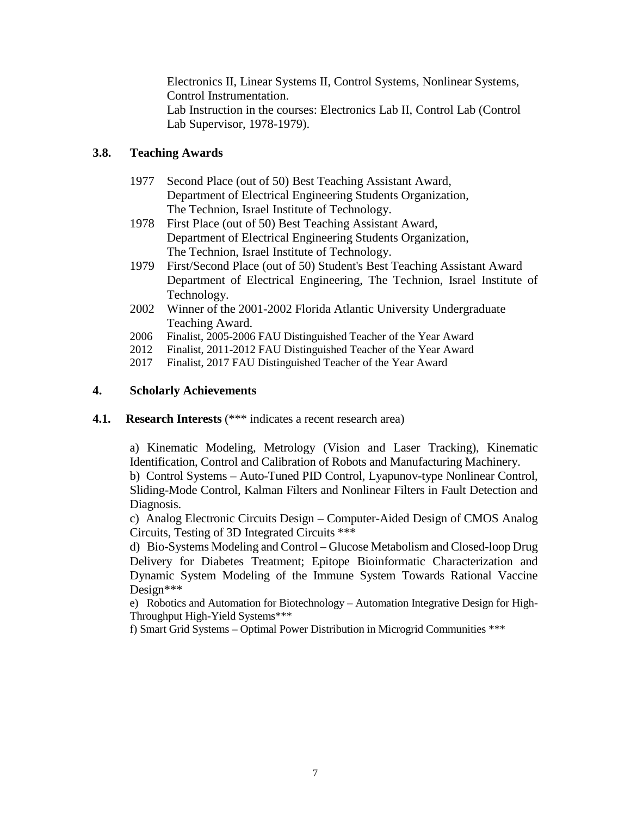Electronics II, Linear Systems II, Control Systems, Nonlinear Systems, Control Instrumentation. Lab Instruction in the courses: Electronics Lab II, Control Lab (Control Lab Supervisor, 1978-1979).

# **3.8. Teaching Awards**

- 1977 Second Place (out of 50) Best Teaching Assistant Award, Department of Electrical Engineering Students Organization, The Technion, Israel Institute of Technology.
- 1978 First Place (out of 50) Best Teaching Assistant Award, Department of Electrical Engineering Students Organization, The Technion, Israel Institute of Technology.
- 1979 First/Second Place (out of 50) Student's Best Teaching Assistant Award Department of Electrical Engineering, The Technion, Israel Institute of Technology.
- 2002 Winner of the 2001-2002 Florida Atlantic University Undergraduate Teaching Award.
- 2006 Finalist, 2005-2006 FAU Distinguished Teacher of the Year Award
- 2012 Finalist, 2011-2012 FAU Distinguished Teacher of the Year Award
- 2017 Finalist, 2017 FAU Distinguished Teacher of the Year Award

# **4. Scholarly Achievements**

**4.1. Research Interests** (\*\*\* indicates a recent research area)

a) Kinematic Modeling, Metrology (Vision and Laser Tracking), Kinematic Identification, Control and Calibration of Robots and Manufacturing Machinery.

b) Control Systems – Auto-Tuned PID Control, Lyapunov-type Nonlinear Control, Sliding-Mode Control, Kalman Filters and Nonlinear Filters in Fault Detection and Diagnosis.

c) Analog Electronic Circuits Design – Computer-Aided Design of CMOS Analog Circuits, Testing of 3D Integrated Circuits \*\*\*

d) Bio-Systems Modeling and Control – Glucose Metabolism and Closed-loop Drug Delivery for Diabetes Treatment; Epitope Bioinformatic Characterization and Dynamic System Modeling of the Immune System Towards Rational Vaccine Design\*\*\*

e) Robotics and Automation for Biotechnology – Automation Integrative Design for High-Throughput High-Yield Systems\*\*\*

f) Smart Grid Systems – Optimal Power Distribution in Microgrid Communities \*\*\*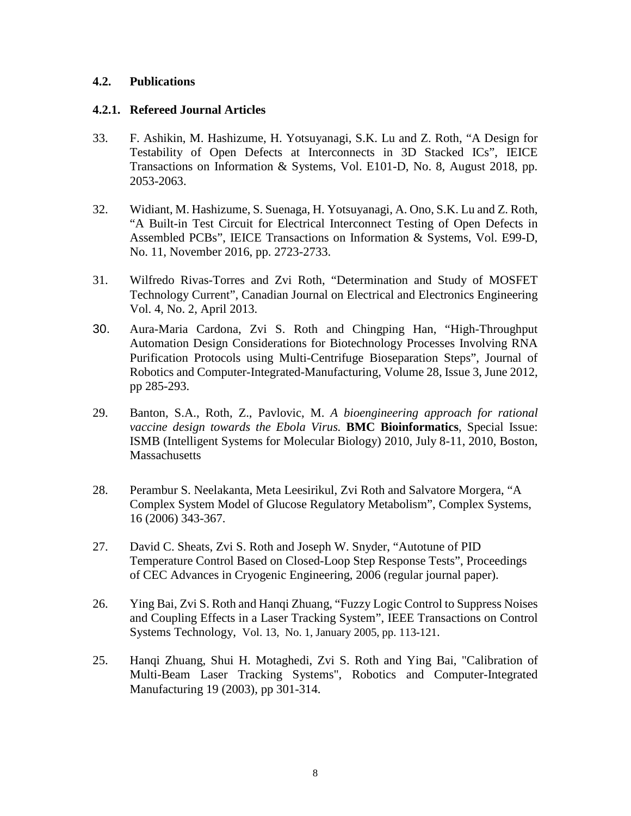## **4.2. Publications**

### **4.2.1. Refereed Journal Articles**

- 33. F. Ashikin, M. Hashizume, H. Yotsuyanagi, S.K. Lu and Z. Roth, "A Design for Testability of Open Defects at Interconnects in 3D Stacked ICs", IEICE Transactions on Information & Systems, Vol. E101-D, No. 8, August 2018, pp. 2053-2063.
- 32. Widiant, M. Hashizume, S. Suenaga, H. Yotsuyanagi, A. Ono, S.K. Lu and Z. Roth, "A Built-in Test Circuit for Electrical Interconnect Testing of Open Defects in Assembled PCBs", IEICE Transactions on Information & Systems, Vol. E99-D, No. 11, November 2016, pp. 2723-2733.
- 31. Wilfredo Rivas-Torres and Zvi Roth, "Determination and Study of MOSFET Technology Current", Canadian Journal on Electrical and Electronics Engineering Vol. 4, No. 2, April 2013.
- 30. Aura-Maria Cardona, Zvi S. Roth and Chingping Han, "High-Throughput Automation Design Considerations for Biotechnology Processes Involving RNA Purification Protocols using Multi-Centrifuge Bioseparation Steps", Journal of Robotics and Computer-Integrated-Manufacturing, Volume 28, Issue 3, June 2012, pp 285-293.
- 29. Banton, S.A., Roth, Z., Pavlovic, M. *A bioengineering approach for rational vaccine design towards the Ebola Virus.* **BMC Bioinformatics**, Special Issue: ISMB (Intelligent Systems for Molecular Biology) 2010, July 8-11, 2010, Boston, Massachusetts
- 28. Perambur S. Neelakanta, Meta Leesirikul, Zvi Roth and Salvatore Morgera, "A Complex System Model of Glucose Regulatory Metabolism", Complex Systems, 16 (2006) 343-367.
- 27. David C. Sheats, Zvi S. Roth and Joseph W. Snyder, "Autotune of PID Temperature Control Based on Closed-Loop Step Response Tests", Proceedings of CEC Advances in Cryogenic Engineering, 2006 (regular journal paper).
- 26. Ying Bai, Zvi S. Roth and Hanqi Zhuang, "Fuzzy Logic Control to Suppress Noises and Coupling Effects in a Laser Tracking System", IEEE Transactions on Control Systems Technology, Vol. 13, No. 1, January 2005, pp. 113-121.
- 25. Hanqi Zhuang, Shui H. Motaghedi, Zvi S. Roth and Ying Bai, "Calibration of Multi-Beam Laser Tracking Systems", Robotics and Computer-Integrated Manufacturing 19 (2003), pp 301-314.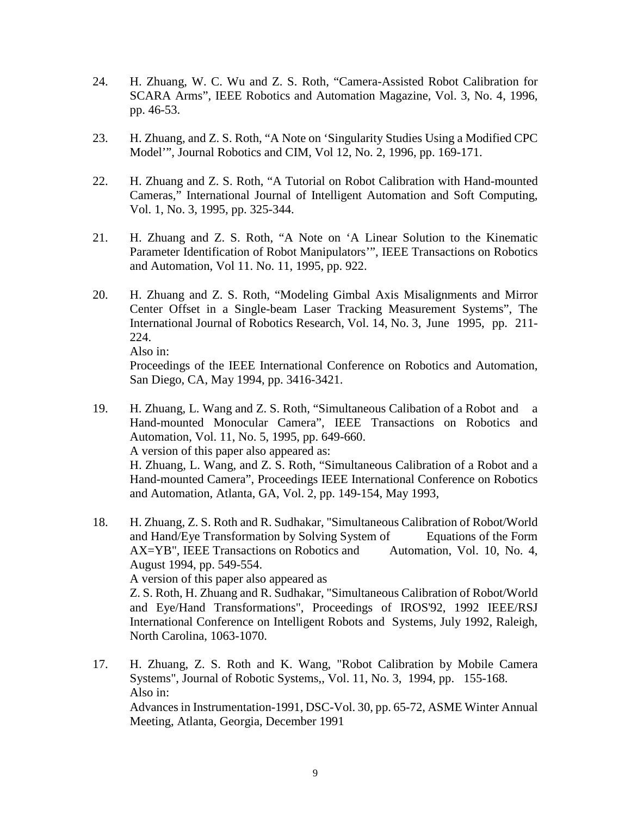- 24. H. Zhuang, W. C. Wu and Z. S. Roth, "Camera-Assisted Robot Calibration for SCARA Arms", IEEE Robotics and Automation Magazine, Vol. 3, No. 4, 1996, pp. 46-53.
- 23. H. Zhuang, and Z. S. Roth, "A Note on 'Singularity Studies Using a Modified CPC Model'", Journal Robotics and CIM, Vol 12, No. 2, 1996, pp. 169-171.
- 22. H. Zhuang and Z. S. Roth, "A Tutorial on Robot Calibration with Hand-mounted Cameras," International Journal of Intelligent Automation and Soft Computing, Vol. 1, No. 3, 1995, pp. 325-344.
- 21. H. Zhuang and Z. S. Roth, "A Note on 'A Linear Solution to the Kinematic Parameter Identification of Robot Manipulators'", IEEE Transactions on Robotics and Automation, Vol 11. No. 11, 1995, pp. 922.
- 20. H. Zhuang and Z. S. Roth, "Modeling Gimbal Axis Misalignments and Mirror Center Offset in a Single-beam Laser Tracking Measurement Systems", The International Journal of Robotics Research, Vol. 14, No. 3, June 1995, pp. 211- 224. Also in:

Proceedings of the IEEE International Conference on Robotics and Automation, San Diego, CA, May 1994, pp. 3416-3421.

19. H. Zhuang, L. Wang and Z. S. Roth, "Simultaneous Calibation of a Robot and a Hand-mounted Monocular Camera", IEEE Transactions on Robotics and Automation, Vol. 11, No. 5, 1995, pp. 649-660. A version of this paper also appeared as:

H. Zhuang, L. Wang, and Z. S. Roth, "Simultaneous Calibration of a Robot and a Hand-mounted Camera", Proceedings IEEE International Conference on Robotics and Automation, Atlanta, GA, Vol. 2, pp. 149-154, May 1993,

18. H. Zhuang, Z. S. Roth and R. Sudhakar, "Simultaneous Calibration of Robot/World and Hand/Eye Transformation by Solving System of Equations of the Form AX=YB", IEEE Transactions on Robotics and Automation, Vol. 10, No. 4, August 1994, pp. 549-554. A version of this paper also appeared as Z. S. Roth, H. Zhuang and R. Sudhakar, "Simultaneous Calibration of Robot/World and Eye/Hand Transformations", Proceedings of IROS'92, 1992 IEEE/RSJ International Conference on Intelligent Robots and Systems, July 1992, Raleigh,

North Carolina, 1063-1070.

17. H. Zhuang, Z. S. Roth and K. Wang, "Robot Calibration by Mobile Camera Systems", Journal of Robotic Systems,, Vol. 11, No. 3, 1994, pp. 155-168. Also in: Advances in Instrumentation-1991, DSC-Vol. 30, pp. 65-72, ASME Winter Annual Meeting, Atlanta, Georgia, December 1991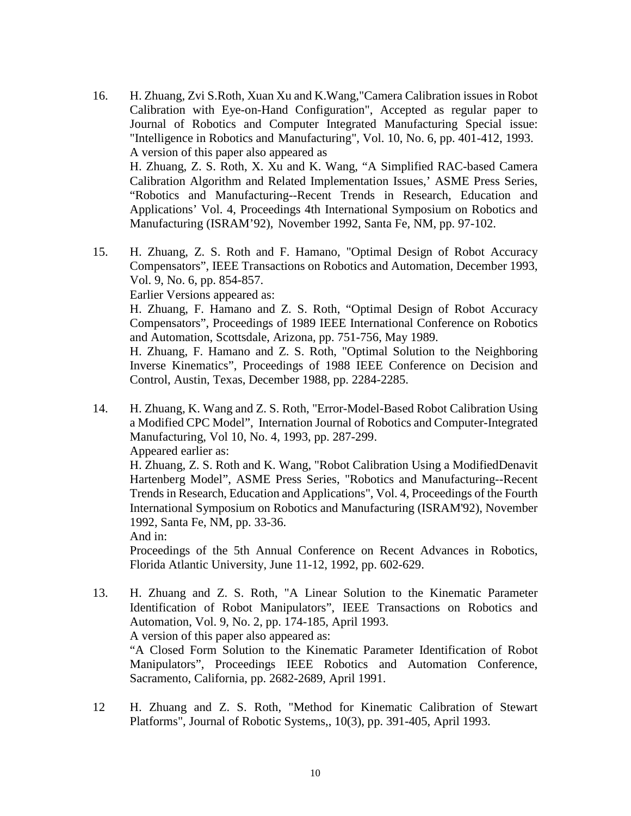- 16. H. Zhuang, Zvi S.Roth, Xuan Xu and K.Wang,"Camera Calibration issues in Robot Calibration with Eye-on-Hand Configuration", Accepted as regular paper to Journal of Robotics and Computer Integrated Manufacturing Special issue: "Intelligence in Robotics and Manufacturing", Vol. 10, No. 6, pp. 401-412, 1993. A version of this paper also appeared as H. Zhuang, Z. S. Roth, X. Xu and K. Wang, "A Simplified RAC-based Camera Calibration Algorithm and Related Implementation Issues,' ASME Press Series, "Robotics and Manufacturing--Recent Trends in Research, Education and Applications' Vol. 4, Proceedings 4th International Symposium on Robotics and Manufacturing (ISRAM'92), November 1992, Santa Fe, NM, pp. 97-102.
- 15. H. Zhuang, Z. S. Roth and F. Hamano, "Optimal Design of Robot Accuracy Compensators", IEEE Transactions on Robotics and Automation, December 1993, Vol. 9, No. 6, pp. 854-857. Earlier Versions appeared as:

H. Zhuang, F. Hamano and Z. S. Roth, "Optimal Design of Robot Accuracy Compensators", Proceedings of 1989 IEEE International Conference on Robotics and Automation, Scottsdale, Arizona, pp. 751-756, May 1989.

H. Zhuang, F. Hamano and Z. S. Roth, "Optimal Solution to the Neighboring Inverse Kinematics", Proceedings of 1988 IEEE Conference on Decision and Control, Austin, Texas, December 1988, pp. 2284-2285.

14. H. Zhuang, K. Wang and Z. S. Roth, "Error-Model-Based Robot Calibration Using a Modified CPC Model", Internation Journal of Robotics and Computer-Integrated Manufacturing, Vol 10, No. 4, 1993, pp. 287-299. Appeared earlier as:

H. Zhuang, Z. S. Roth and K. Wang, "Robot Calibration Using a ModifiedDenavit Hartenberg Model", ASME Press Series, "Robotics and Manufacturing--Recent Trends in Research, Education and Applications", Vol. 4, Proceedings of the Fourth International Symposium on Robotics and Manufacturing (ISRAM'92), November 1992, Santa Fe, NM, pp. 33-36.

And in:

Proceedings of the 5th Annual Conference on Recent Advances in Robotics, Florida Atlantic University, June 11-12, 1992, pp. 602-629.

- 13. H. Zhuang and Z. S. Roth, "A Linear Solution to the Kinematic Parameter Identification of Robot Manipulators", IEEE Transactions on Robotics and Automation, Vol. 9, No. 2, pp. 174-185, April 1993. A version of this paper also appeared as: "A Closed Form Solution to the Kinematic Parameter Identification of Robot Manipulators", Proceedings IEEE Robotics and Automation Conference, Sacramento, California, pp. 2682-2689, April 1991.
- 12 H. Zhuang and Z. S. Roth, "Method for Kinematic Calibration of Stewart Platforms", Journal of Robotic Systems,, 10(3), pp. 391-405, April 1993.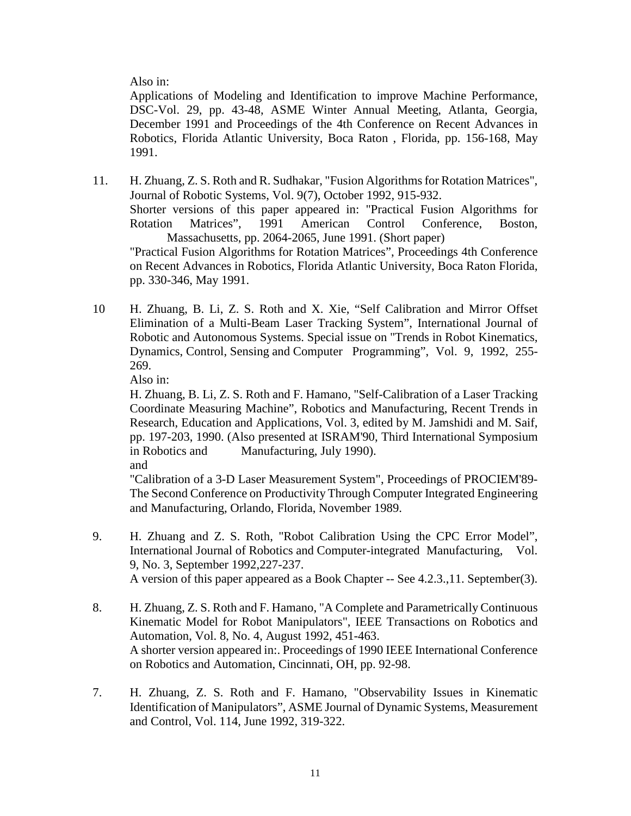Also in:

Applications of Modeling and Identification to improve Machine Performance, DSC-Vol. 29, pp. 43-48, ASME Winter Annual Meeting, Atlanta, Georgia, December 1991 and Proceedings of the 4th Conference on Recent Advances in Robotics, Florida Atlantic University, Boca Raton , Florida, pp. 156-168, May 1991.

- 11. H. Zhuang, Z. S. Roth and R. Sudhakar, "Fusion Algorithms for Rotation Matrices", Journal of Robotic Systems, Vol. 9(7), October 1992, 915-932. Shorter versions of this paper appeared in: "Practical Fusion Algorithms for Rotation Matrices", 1991 American Control Conference, Boston, Massachusetts, pp. 2064-2065, June 1991. (Short paper) "Practical Fusion Algorithms for Rotation Matrices", Proceedings 4th Conference on Recent Advances in Robotics, Florida Atlantic University, Boca Raton Florida, pp. 330-346, May 1991.
- 10 H. Zhuang, B. Li, Z. S. Roth and X. Xie, "Self Calibration and Mirror Offset Elimination of a Multi-Beam Laser Tracking System", International Journal of Robotic and Autonomous Systems. Special issue on "Trends in Robot Kinematics, Dynamics, Control, Sensing and Computer Programming", Vol. 9, 1992, 255- 269.

Also in:

H. Zhuang, B. Li, Z. S. Roth and F. Hamano, "Self-Calibration of a Laser Tracking Coordinate Measuring Machine", Robotics and Manufacturing, Recent Trends in Research, Education and Applications, Vol. 3, edited by M. Jamshidi and M. Saif, pp. 197-203, 1990. (Also presented at ISRAM'90, Third International Symposium in Robotics and Manufacturing, July 1990).

and

"Calibration of a 3-D Laser Measurement System", Proceedings of PROCIEM'89- The Second Conference on Productivity Through Computer Integrated Engineering and Manufacturing, Orlando, Florida, November 1989.

- 9. H. Zhuang and Z. S. Roth, "Robot Calibration Using the CPC Error Model", International Journal of Robotics and Computer-integrated Manufacturing, Vol. 9, No. 3, September 1992,227-237. A version of this paper appeared as a Book Chapter -- See 4.2.3.,11. September(3).
- 8. H. Zhuang, Z. S. Roth and F. Hamano, "A Complete and Parametrically Continuous Kinematic Model for Robot Manipulators", IEEE Transactions on Robotics and Automation, Vol. 8, No. 4, August 1992, 451-463. A shorter version appeared in:. Proceedings of 1990 IEEE International Conference on Robotics and Automation, Cincinnati, OH, pp. 92-98.
- 7. H. Zhuang, Z. S. Roth and F. Hamano, "Observability Issues in Kinematic Identification of Manipulators", ASME Journal of Dynamic Systems, Measurement and Control, Vol. 114, June 1992, 319-322.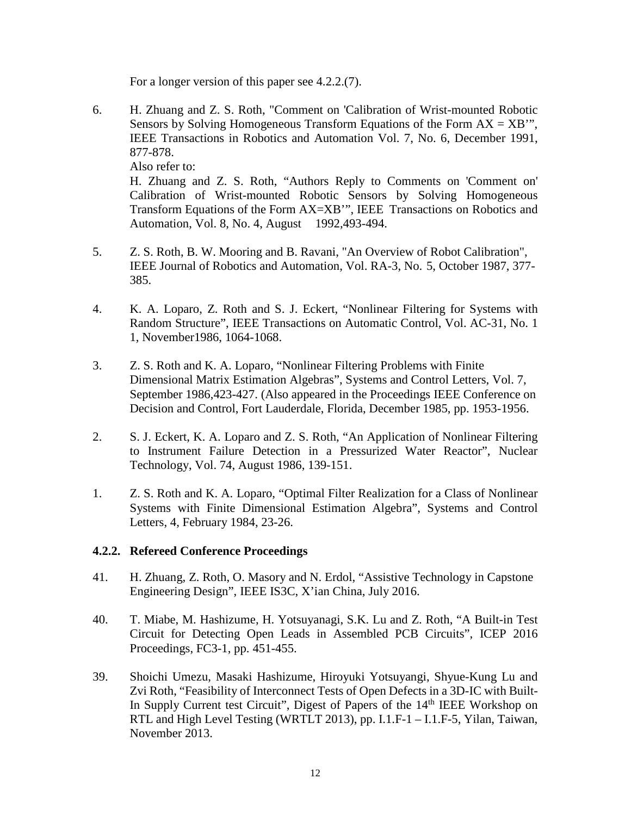For a longer version of this paper see 4.2.2.(7).

6. H. Zhuang and Z. S. Roth, "Comment on 'Calibration of Wrist-mounted Robotic Sensors by Solving Homogeneous Transform Equations of the Form  $AX = XB''$ , IEEE Transactions in Robotics and Automation Vol. 7, No. 6, December 1991, 877-878. Also refer to:

H. Zhuang and Z. S. Roth, "Authors Reply to Comments on 'Comment on' Calibration of Wrist-mounted Robotic Sensors by Solving Homogeneous Transform Equations of the Form AX=XB'", IEEE Transactions on Robotics and Automation, Vol. 8, No. 4, August 1992,493-494.

- 5. Z. S. Roth, B. W. Mooring and B. Ravani, "An Overview of Robot Calibration", IEEE Journal of Robotics and Automation, Vol. RA-3, No. 5, October 1987, 377- 385.
- 4. K. A. Loparo, Z. Roth and S. J. Eckert, "Nonlinear Filtering for Systems with Random Structure", IEEE Transactions on Automatic Control, Vol. AC-31, No. 1 1, November1986, 1064-1068.
- 3. Z. S. Roth and K. A. Loparo, "Nonlinear Filtering Problems with Finite Dimensional Matrix Estimation Algebras", Systems and Control Letters, Vol. 7, September 1986,423-427. (Also appeared in the Proceedings IEEE Conference on Decision and Control, Fort Lauderdale, Florida, December 1985, pp. 1953-1956.
- 2. S. J. Eckert, K. A. Loparo and Z. S. Roth, "An Application of Nonlinear Filtering to Instrument Failure Detection in a Pressurized Water Reactor", Nuclear Technology, Vol. 74, August 1986, 139-151.
- 1. Z. S. Roth and K. A. Loparo, "Optimal Filter Realization for a Class of Nonlinear Systems with Finite Dimensional Estimation Algebra", Systems and Control Letters, 4, February 1984, 23-26.

### **4.2.2. Refereed Conference Proceedings**

- 41. H. Zhuang, Z. Roth, O. Masory and N. Erdol, "Assistive Technology in Capstone Engineering Design", IEEE IS3C, X'ian China, July 2016.
- 40. T. Miabe, M. Hashizume, H. Yotsuyanagi, S.K. Lu and Z. Roth, "A Built-in Test Circuit for Detecting Open Leads in Assembled PCB Circuits", ICEP 2016 Proceedings, FC3-1, pp. 451-455.
- 39. Shoichi Umezu, Masaki Hashizume, Hiroyuki Yotsuyangi, Shyue-Kung Lu and Zvi Roth, "Feasibility of Interconnect Tests of Open Defects in a 3D-IC with Built-In Supply Current test Circuit", Digest of Papers of the  $14<sup>th</sup>$  IEEE Workshop on RTL and High Level Testing (WRTLT 2013), pp. I.1.F-1 – I.1.F-5, Yilan, Taiwan, November 2013.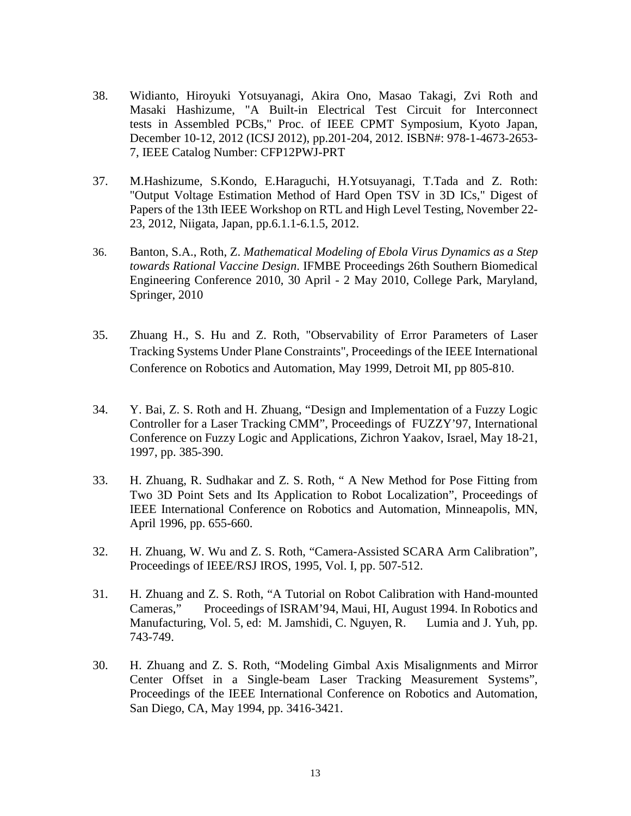- 38. Widianto, Hiroyuki Yotsuyanagi, Akira Ono, Masao Takagi, Zvi Roth and Masaki Hashizume, "A Built-in Electrical Test Circuit for Interconnect tests in Assembled PCBs," Proc. of IEEE CPMT Symposium, Kyoto Japan, December 10-12, 2012 (ICSJ 2012), pp.201-204, 2012. ISBN#: 978-1-4673-2653- 7, IEEE Catalog Number: CFP12PWJ-PRT
- 37. M.Hashizume, S.Kondo, E.Haraguchi, H.Yotsuyanagi, T.Tada and Z. Roth: "Output Voltage Estimation Method of Hard Open TSV in 3D ICs," Digest of Papers of the 13th IEEE Workshop on RTL and High Level Testing, November 22- 23, 2012, Niigata, Japan, pp.6.1.1-6.1.5, 2012.
- 36. Banton, S.A., Roth, Z. *Mathematical Modeling of Ebola Virus Dynamics as a Step towards Rational Vaccine Design*. IFMBE Proceedings 26th Southern Biomedical Engineering Conference 2010, 30 April - 2 May 2010, College Park, Maryland, Springer, 2010
- 35. Zhuang H., S. Hu and Z. Roth, "Observability of Error Parameters of Laser Tracking Systems Under Plane Constraints", Proceedings of the IEEE International Conference on Robotics and Automation, May 1999, Detroit MI, pp 805-810.
- 34. Y. Bai, Z. S. Roth and H. Zhuang, "Design and Implementation of a Fuzzy Logic Controller for a Laser Tracking CMM", Proceedings of FUZZY'97, International Conference on Fuzzy Logic and Applications, Zichron Yaakov, Israel, May 18-21, 1997, pp. 385-390.
- 33. H. Zhuang, R. Sudhakar and Z. S. Roth, " A New Method for Pose Fitting from Two 3D Point Sets and Its Application to Robot Localization", Proceedings of IEEE International Conference on Robotics and Automation, Minneapolis, MN, April 1996, pp. 655-660.
- 32. H. Zhuang, W. Wu and Z. S. Roth, "Camera-Assisted SCARA Arm Calibration", Proceedings of IEEE/RSJ IROS, 1995, Vol. I, pp. 507-512.
- 31. H. Zhuang and Z. S. Roth, "A Tutorial on Robot Calibration with Hand-mounted Cameras," Proceedings of ISRAM'94, Maui, HI, August 1994. In Robotics and Manufacturing, Vol. 5, ed: M. Jamshidi, C. Nguyen, R. Lumia and J. Yuh, pp. 743-749.
- 30. H. Zhuang and Z. S. Roth, "Modeling Gimbal Axis Misalignments and Mirror Center Offset in a Single-beam Laser Tracking Measurement Systems", Proceedings of the IEEE International Conference on Robotics and Automation, San Diego, CA, May 1994, pp. 3416-3421.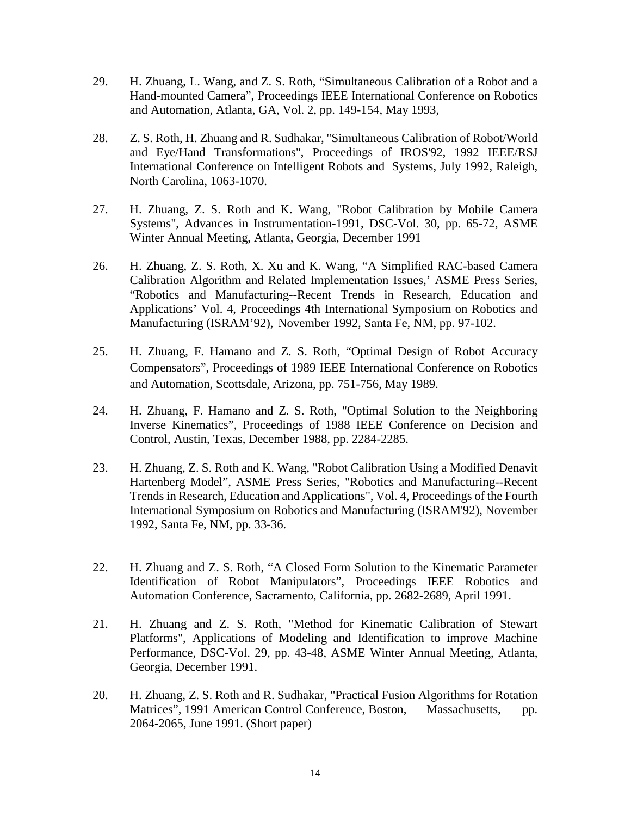- 29. H. Zhuang, L. Wang, and Z. S. Roth, "Simultaneous Calibration of a Robot and a Hand-mounted Camera", Proceedings IEEE International Conference on Robotics and Automation, Atlanta, GA, Vol. 2, pp. 149-154, May 1993,
- 28. Z. S. Roth, H. Zhuang and R. Sudhakar, "Simultaneous Calibration of Robot/World and Eye/Hand Transformations", Proceedings of IROS'92, 1992 IEEE/RSJ International Conference on Intelligent Robots and Systems, July 1992, Raleigh, North Carolina, 1063-1070.
- 27. H. Zhuang, Z. S. Roth and K. Wang, "Robot Calibration by Mobile Camera Systems", Advances in Instrumentation-1991, DSC-Vol. 30, pp. 65-72, ASME Winter Annual Meeting, Atlanta, Georgia, December 1991
- 26. H. Zhuang, Z. S. Roth, X. Xu and K. Wang, "A Simplified RAC-based Camera Calibration Algorithm and Related Implementation Issues,' ASME Press Series, "Robotics and Manufacturing--Recent Trends in Research, Education and Applications' Vol. 4, Proceedings 4th International Symposium on Robotics and Manufacturing (ISRAM'92), November 1992, Santa Fe, NM, pp. 97-102.
- 25. H. Zhuang, F. Hamano and Z. S. Roth, "Optimal Design of Robot Accuracy Compensators", Proceedings of 1989 IEEE International Conference on Robotics and Automation, Scottsdale, Arizona, pp. 751-756, May 1989.
- 24. H. Zhuang, F. Hamano and Z. S. Roth, "Optimal Solution to the Neighboring Inverse Kinematics", Proceedings of 1988 IEEE Conference on Decision and Control, Austin, Texas, December 1988, pp. 2284-2285.
- 23. H. Zhuang, Z. S. Roth and K. Wang, "Robot Calibration Using a Modified Denavit Hartenberg Model", ASME Press Series, "Robotics and Manufacturing--Recent Trends in Research, Education and Applications", Vol. 4, Proceedings of the Fourth International Symposium on Robotics and Manufacturing (ISRAM'92), November 1992, Santa Fe, NM, pp. 33-36.
- 22. H. Zhuang and Z. S. Roth, "A Closed Form Solution to the Kinematic Parameter Identification of Robot Manipulators", Proceedings IEEE Robotics and Automation Conference, Sacramento, California, pp. 2682-2689, April 1991.
- 21. H. Zhuang and Z. S. Roth, "Method for Kinematic Calibration of Stewart Platforms", Applications of Modeling and Identification to improve Machine Performance, DSC-Vol. 29, pp. 43-48, ASME Winter Annual Meeting, Atlanta, Georgia, December 1991.
- 20. H. Zhuang, Z. S. Roth and R. Sudhakar, "Practical Fusion Algorithms for Rotation Matrices", 1991 American Control Conference, Boston, Massachusetts, pp. 2064-2065, June 1991. (Short paper)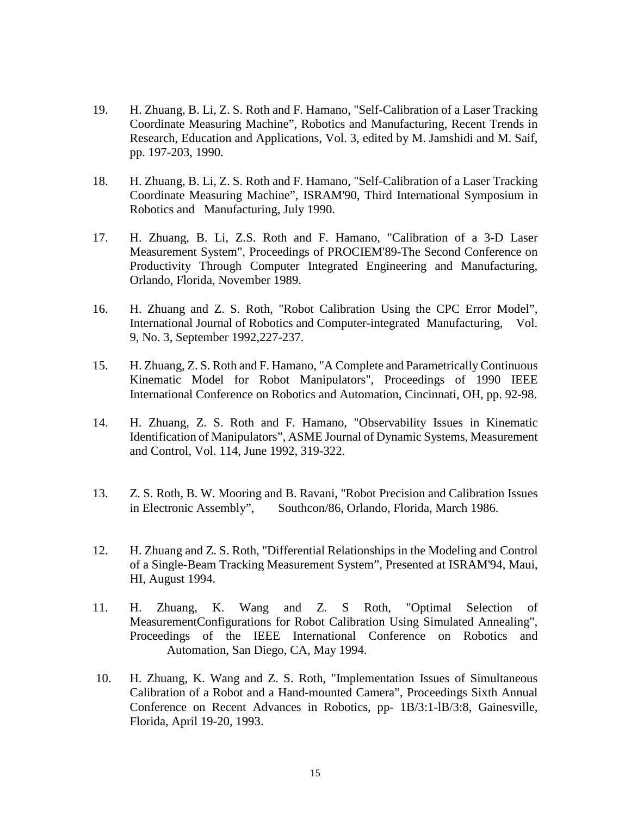- 19. H. Zhuang, B. Li, Z. S. Roth and F. Hamano, "Self-Calibration of a Laser Tracking Coordinate Measuring Machine", Robotics and Manufacturing, Recent Trends in Research, Education and Applications, Vol. 3, edited by M. Jamshidi and M. Saif, pp. 197-203, 1990.
- 18. H. Zhuang, B. Li, Z. S. Roth and F. Hamano, "Self-Calibration of a Laser Tracking Coordinate Measuring Machine", ISRAM'90, Third International Symposium in Robotics and Manufacturing, July 1990.
- 17. H. Zhuang, B. Li, Z.S. Roth and F. Hamano, "Calibration of a 3-D Laser Measurement System", Proceedings of PROCIEM'89-The Second Conference on Productivity Through Computer Integrated Engineering and Manufacturing, Orlando, Florida, November 1989.
- 16. H. Zhuang and Z. S. Roth, "Robot Calibration Using the CPC Error Model", International Journal of Robotics and Computer-integrated Manufacturing, Vol. 9, No. 3, September 1992,227-237.
- 15. H. Zhuang, Z. S. Roth and F. Hamano, "A Complete and Parametrically Continuous Kinematic Model for Robot Manipulators", Proceedings of 1990 IEEE International Conference on Robotics and Automation, Cincinnati, OH, pp. 92-98.
- 14. H. Zhuang, Z. S. Roth and F. Hamano, "Observability Issues in Kinematic Identification of Manipulators", ASME Journal of Dynamic Systems, Measurement and Control, Vol. 114, June 1992, 319-322.
- 13. Z. S. Roth, B. W. Mooring and B. Ravani, "Robot Precision and Calibration Issues in Electronic Assembly", Southcon/86, Orlando, Florida, March 1986.
- 12. H. Zhuang and Z. S. Roth, "Differential Relationships in the Modeling and Control of a Single-Beam Tracking Measurement System", Presented at ISRAM'94, Maui, HI, August 1994.
- 11. H. Zhuang, K. Wang and Z. S Roth, "Optimal Selection of MeasurementConfigurations for Robot Calibration Using Simulated Annealing", Proceedings of the IEEE International Conference on Robotics and Automation, San Diego, CA, May 1994.
- 10. H. Zhuang, K. Wang and Z. S. Roth, "Implementation Issues of Simultaneous Calibration of a Robot and a Hand-mounted Camera", Proceedings Sixth Annual Conference on Recent Advances in Robotics, pp- 1B/3:1-lB/3:8, Gainesville, Florida, April 19-20, 1993.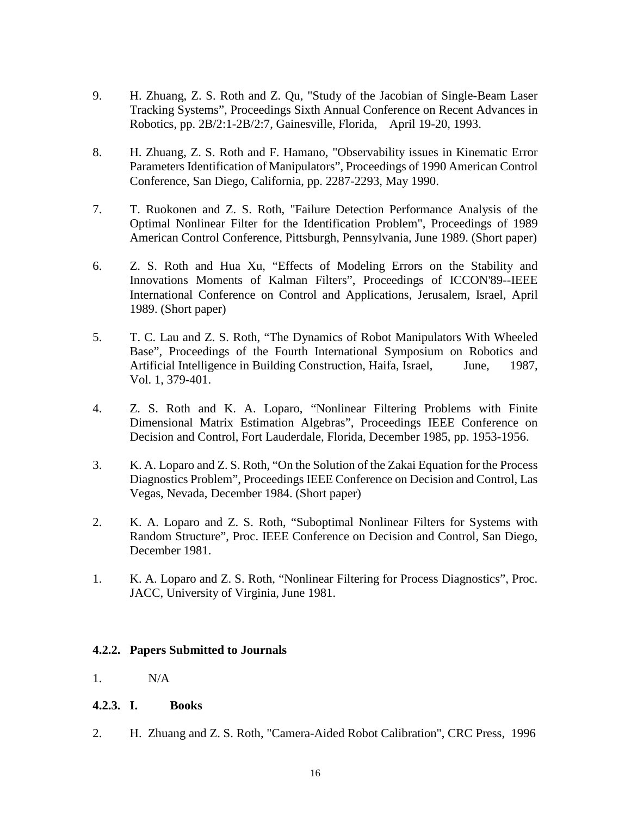- 9. H. Zhuang, Z. S. Roth and Z. Qu, "Study of the Jacobian of Single-Beam Laser Tracking Systems", Proceedings Sixth Annual Conference on Recent Advances in Robotics, pp. 2B/2:1-2B/2:7, Gainesville, Florida, April 19-20, 1993.
- 8. H. Zhuang, Z. S. Roth and F. Hamano, "Observability issues in Kinematic Error Parameters Identification of Manipulators", Proceedings of 1990 American Control Conference, San Diego, California, pp. 2287-2293, May 1990.
- 7. T. Ruokonen and Z. S. Roth, "Failure Detection Performance Analysis of the Optimal Nonlinear Filter for the Identification Problem", Proceedings of 1989 American Control Conference, Pittsburgh, Pennsylvania, June 1989. (Short paper)
- 6. Z. S. Roth and Hua Xu, "Effects of Modeling Errors on the Stability and Innovations Moments of Kalman Filters", Proceedings of ICCON'89--IEEE International Conference on Control and Applications, Jerusalem, Israel, April 1989. (Short paper)
- 5. T. C. Lau and Z. S. Roth, "The Dynamics of Robot Manipulators With Wheeled Base", Proceedings of the Fourth International Symposium on Robotics and Artificial Intelligence in Building Construction, Haifa, Israel, June, 1987, Vol. 1, 379-401.
- 4. Z. S. Roth and K. A. Loparo, "Nonlinear Filtering Problems with Finite Dimensional Matrix Estimation Algebras", Proceedings IEEE Conference on Decision and Control, Fort Lauderdale, Florida, December 1985, pp. 1953-1956.
- 3. K. A. Loparo and Z. S. Roth, "On the Solution of the Zakai Equation for the Process Diagnostics Problem", Proceedings IEEE Conference on Decision and Control, Las Vegas, Nevada, December 1984. (Short paper)
- 2. K. A. Loparo and Z. S. Roth, "Suboptimal Nonlinear Filters for Systems with Random Structure", Proc. IEEE Conference on Decision and Control, San Diego, December 1981.
- 1. K. A. Loparo and Z. S. Roth, "Nonlinear Filtering for Process Diagnostics", Proc. JACC, University of Virginia, June 1981.

# **4.2.2. Papers Submitted to Journals**

- 1. N/A
- **4.2.3. I. Books**
- 2. H. Zhuang and Z. S. Roth, "Camera-Aided Robot Calibration", CRC Press, 1996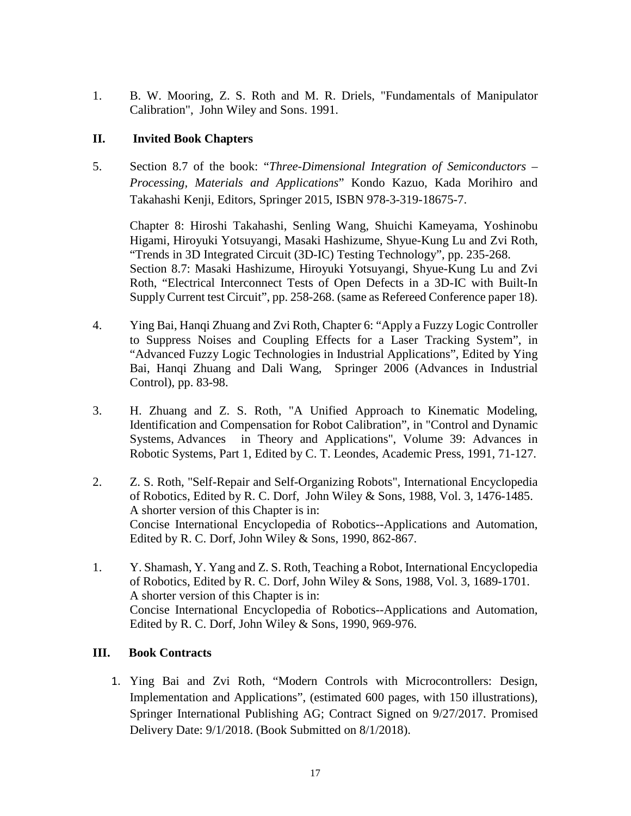1. B. W. Mooring, Z. S. Roth and M. R. Driels, "Fundamentals of Manipulator Calibration", John Wiley and Sons. 1991.

# **II. Invited Book Chapters**

5. Section 8.7 of the book: "*Three-Dimensional Integration of Semiconductors – Processing, Materials and Applications*" Kondo Kazuo, Kada Morihiro and Takahashi Kenji, Editors, Springer 2015, ISBN 978-3-319-18675-7.

Chapter 8: Hiroshi Takahashi, Senling Wang, Shuichi Kameyama, Yoshinobu Higami, Hiroyuki Yotsuyangi, Masaki Hashizume, Shyue-Kung Lu and Zvi Roth, "Trends in 3D Integrated Circuit (3D-IC) Testing Technology", pp. 235-268. Section 8.7: Masaki Hashizume, Hiroyuki Yotsuyangi, Shyue-Kung Lu and Zvi Roth, "Electrical Interconnect Tests of Open Defects in a 3D-IC with Built-In Supply Current test Circuit", pp. 258-268. (same as Refereed Conference paper 18).

- 4. Ying Bai, Hanqi Zhuang and Zvi Roth, Chapter 6: "Apply a Fuzzy Logic Controller to Suppress Noises and Coupling Effects for a Laser Tracking System", in "Advanced Fuzzy Logic Technologies in Industrial Applications", Edited by Ying Bai, Hanqi Zhuang and Dali Wang, Springer 2006 (Advances in Industrial Control), pp. 83-98.
- 3. H. Zhuang and Z. S. Roth, "A Unified Approach to Kinematic Modeling, Identification and Compensation for Robot Calibration", in "Control and Dynamic Systems, Advances in Theory and Applications", Volume 39: Advances in Robotic Systems, Part 1, Edited by C. T. Leondes, Academic Press, 1991, 71-127.
- 2. Z. S. Roth, "Self-Repair and Self-Organizing Robots", International Encyclopedia of Robotics, Edited by R. C. Dorf, John Wiley & Sons, 1988, Vol. 3, 1476-1485. A shorter version of this Chapter is in: Concise International Encyclopedia of Robotics--Applications and Automation, Edited by R. C. Dorf, John Wiley & Sons, 1990, 862-867.
- 1. Y. Shamash, Y. Yang and Z. S. Roth, Teaching a Robot, International Encyclopedia of Robotics, Edited by R. C. Dorf, John Wiley & Sons, 1988, Vol. 3, 1689-1701. A shorter version of this Chapter is in: Concise International Encyclopedia of Robotics--Applications and Automation, Edited by R. C. Dorf, John Wiley & Sons, 1990, 969-976.

# **III. Book Contracts**

1. Ying Bai and Zvi Roth, "Modern Controls with Microcontrollers: Design, Implementation and Applications", (estimated 600 pages, with 150 illustrations), Springer International Publishing AG; Contract Signed on 9/27/2017. Promised Delivery Date: 9/1/2018. (Book Submitted on 8/1/2018).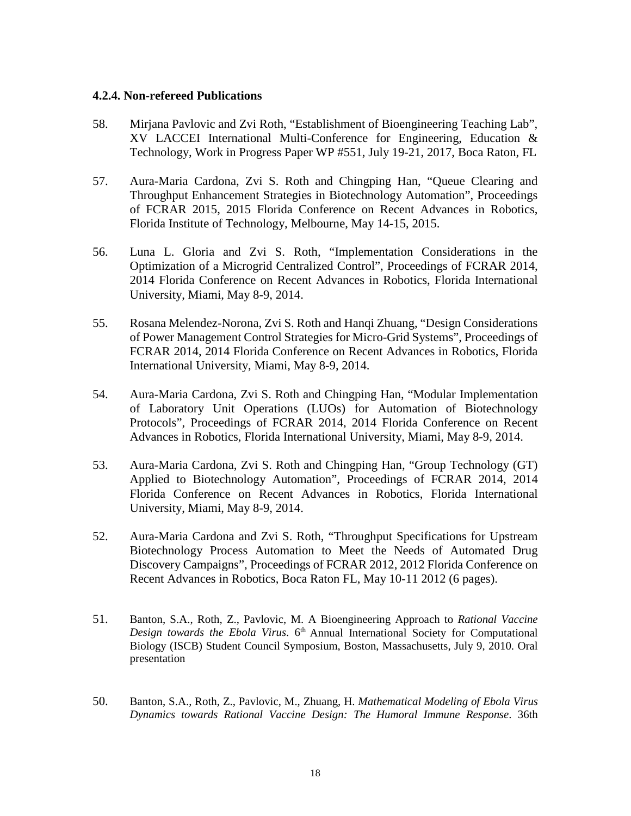### **4.2.4. Non-refereed Publications**

- 58. Mirjana Pavlovic and Zvi Roth, "Establishment of Bioengineering Teaching Lab", XV LACCEI International Multi-Conference for Engineering, Education & Technology, Work in Progress Paper WP #551, July 19-21, 2017, Boca Raton, FL
- 57. Aura-Maria Cardona, Zvi S. Roth and Chingping Han, "Queue Clearing and Throughput Enhancement Strategies in Biotechnology Automation", Proceedings of FCRAR 2015, 2015 Florida Conference on Recent Advances in Robotics, Florida Institute of Technology, Melbourne, May 14-15, 2015.
- 56. Luna L. Gloria and Zvi S. Roth, "Implementation Considerations in the Optimization of a Microgrid Centralized Control", Proceedings of FCRAR 2014, 2014 Florida Conference on Recent Advances in Robotics, Florida International University, Miami, May 8-9, 2014.
- 55. Rosana Melendez-Norona, Zvi S. Roth and Hanqi Zhuang, "Design Considerations of Power Management Control Strategies for Micro-Grid Systems", Proceedings of FCRAR 2014, 2014 Florida Conference on Recent Advances in Robotics, Florida International University, Miami, May 8-9, 2014.
- 54. Aura-Maria Cardona, Zvi S. Roth and Chingping Han, "Modular Implementation of Laboratory Unit Operations (LUOs) for Automation of Biotechnology Protocols", Proceedings of FCRAR 2014, 2014 Florida Conference on Recent Advances in Robotics, Florida International University, Miami, May 8-9, 2014.
- 53. Aura-Maria Cardona, Zvi S. Roth and Chingping Han, "Group Technology (GT) Applied to Biotechnology Automation", Proceedings of FCRAR 2014, 2014 Florida Conference on Recent Advances in Robotics, Florida International University, Miami, May 8-9, 2014.
- 52. Aura-Maria Cardona and Zvi S. Roth, "Throughput Specifications for Upstream Biotechnology Process Automation to Meet the Needs of Automated Drug Discovery Campaigns", Proceedings of FCRAR 2012, 2012 Florida Conference on Recent Advances in Robotics, Boca Raton FL, May 10-11 2012 (6 pages).
- 51. Banton, S.A., Roth, Z., Pavlovic, M. A Bioengineering Approach to *Rational Vaccine*  Design towards the Ebola Virus. 6<sup>th</sup> Annual International Society for Computational Biology (ISCB) Student Council Symposium, Boston, Massachusetts, July 9, 2010. Oral presentation
- 50. Banton, S.A., Roth, Z., Pavlovic, M., Zhuang, H. *Mathematical Modeling of Ebola Virus Dynamics towards Rational Vaccine Design: The Humoral Immune Response*. 36th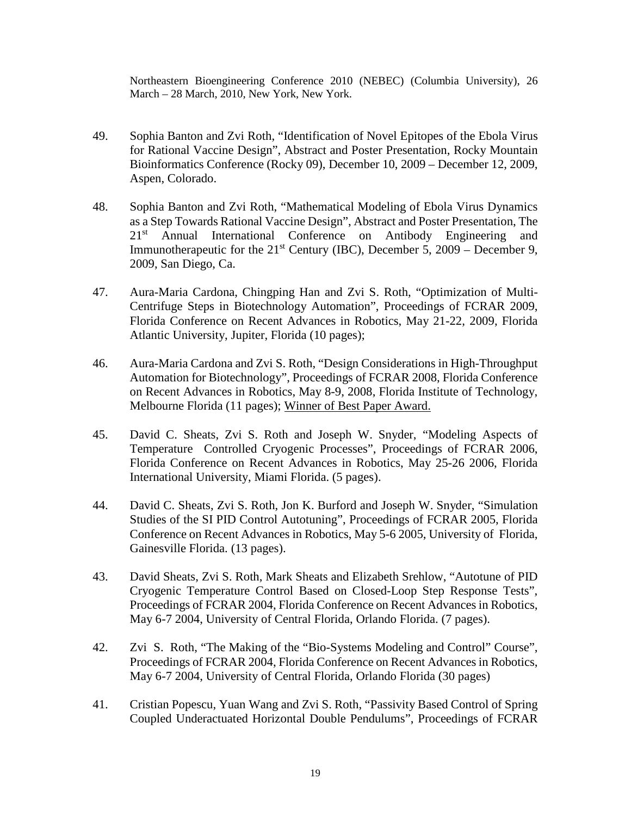Northeastern Bioengineering Conference 2010 (NEBEC) (Columbia University), 26 March – 28 March, 2010, New York, New York.

- 49. Sophia Banton and Zvi Roth, "Identification of Novel Epitopes of the Ebola Virus for Rational Vaccine Design", Abstract and Poster Presentation, Rocky Mountain Bioinformatics Conference (Rocky 09), December 10, 2009 – December 12, 2009, Aspen, Colorado.
- 48. Sophia Banton and Zvi Roth, "Mathematical Modeling of Ebola Virus Dynamics as a Step Towards Rational Vaccine Design", Abstract and Poster Presentation, The 21<sup>st</sup> Annual International Conference on Antibody Engineering and Immunotherapeutic for the  $21<sup>st</sup>$  Century (IBC), December 5, 2009 – December 9, 2009, San Diego, Ca.
- 47. Aura-Maria Cardona, Chingping Han and Zvi S. Roth, "Optimization of Multi-Centrifuge Steps in Biotechnology Automation", Proceedings of FCRAR 2009, Florida Conference on Recent Advances in Robotics, May 21-22, 2009, Florida Atlantic University, Jupiter, Florida (10 pages);
- 46. Aura-Maria Cardona and Zvi S. Roth, "Design Considerations in High-Throughput Automation for Biotechnology", Proceedings of FCRAR 2008, Florida Conference on Recent Advances in Robotics, May 8-9, 2008, Florida Institute of Technology, Melbourne Florida (11 pages); Winner of Best Paper Award.
- 45. David C. Sheats, Zvi S. Roth and Joseph W. Snyder, "Modeling Aspects of Temperature Controlled Cryogenic Processes", Proceedings of FCRAR 2006, Florida Conference on Recent Advances in Robotics, May 25-26 2006, Florida International University, Miami Florida. (5 pages).
- 44. David C. Sheats, Zvi S. Roth, Jon K. Burford and Joseph W. Snyder, "Simulation Studies of the SI PID Control Autotuning", Proceedings of FCRAR 2005, Florida Conference on Recent Advances in Robotics, May 5-6 2005, University of Florida, Gainesville Florida. (13 pages).
- 43. David Sheats, Zvi S. Roth, Mark Sheats and Elizabeth Srehlow, "Autotune of PID Cryogenic Temperature Control Based on Closed-Loop Step Response Tests", Proceedings of FCRAR 2004, Florida Conference on Recent Advances in Robotics, May 6-7 2004, University of Central Florida, Orlando Florida. (7 pages).
- 42. Zvi S. Roth, "The Making of the "Bio-Systems Modeling and Control" Course", Proceedings of FCRAR 2004, Florida Conference on Recent Advances in Robotics, May 6-7 2004, University of Central Florida, Orlando Florida (30 pages)
- 41. Cristian Popescu, Yuan Wang and Zvi S. Roth, "Passivity Based Control of Spring Coupled Underactuated Horizontal Double Pendulums", Proceedings of FCRAR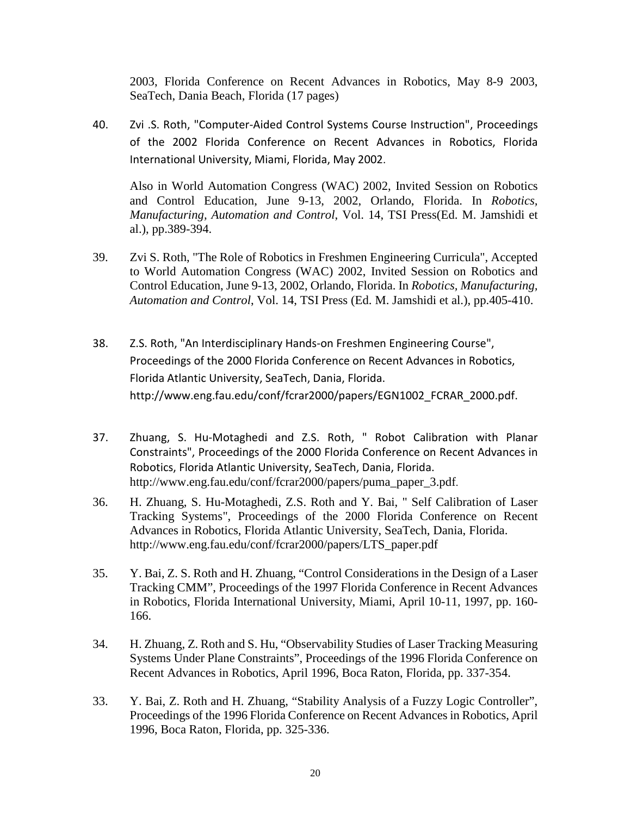2003, Florida Conference on Recent Advances in Robotics, May 8-9 2003, SeaTech, Dania Beach, Florida (17 pages)

40. Zvi .S. Roth, "Computer-Aided Control Systems Course Instruction", Proceedings of the 2002 Florida Conference on Recent Advances in Robotics, Florida International University, Miami, Florida, May 2002.

Also in World Automation Congress (WAC) 2002, Invited Session on Robotics and Control Education, June 9-13, 2002, Orlando, Florida. In *Robotics, Manufacturing, Automation and Control*, Vol. 14, TSI Press(Ed. M. Jamshidi et al.), pp.389-394.

- 39. Zvi S. Roth, "The Role of Robotics in Freshmen Engineering Curricula", Accepted to World Automation Congress (WAC) 2002, Invited Session on Robotics and Control Education, June 9-13, 2002, Orlando, Florida. In *Robotics, Manufacturing, Automation and Control*, Vol. 14, TSI Press (Ed. M. Jamshidi et al.), pp.405-410.
- 38. Z.S. Roth, "An Interdisciplinary Hands-on Freshmen Engineering Course", Proceedings of the 2000 Florida Conference on Recent Advances in Robotics, Florida Atlantic University, SeaTech, Dania, Florida. [http://www.eng.fau.edu/conf/fcrar2000/papers/EGN1002\\_FCRAR\\_2000.pdf.](http://www.eng.fau.edu/conf/fcrar2000/papers/EGN1002_FCRAR_2000.pdf)
- 37. Zhuang, S. Hu-Motaghedi and Z.S. Roth, " Robot Calibration with Planar Constraints", Proceedings of the 2000 Florida Conference on Recent Advances in Robotics, Florida Atlantic University, SeaTech, Dania, Florida. [http://www.eng.fau.edu/conf/fcrar2000/papers/puma\\_paper\\_3.pdf.](http://www.eng.fau.edu/conf/fcrar2000/papers/EGN1002_FCRAR_2000.pdf)
- 36. H. Zhuang, S. Hu-Motaghedi, Z.S. Roth and Y. Bai, " Self Calibration of Laser Tracking Systems", Proceedings of the 2000 Florida Conference on Recent Advances in Robotics, Florida Atlantic University, SeaTech, Dania, Florida. [http://www.eng.fau.edu/conf/fcrar2000/papers/LTS\\_paper.pdf](http://www.eng.fau.edu/conf/fcrar2000/papers/EGN1002_FCRAR_2000.pdf)
- 35. Y. Bai, Z. S. Roth and H. Zhuang, "Control Considerations in the Design of a Laser Tracking CMM", Proceedings of the 1997 Florida Conference in Recent Advances in Robotics, Florida International University, Miami, April 10-11, 1997, pp. 160- 166.
- 34. H. Zhuang, Z. Roth and S. Hu, "Observability Studies of Laser Tracking Measuring Systems Under Plane Constraints", Proceedings of the 1996 Florida Conference on Recent Advances in Robotics, April 1996, Boca Raton, Florida, pp. 337-354.
- 33. Y. Bai, Z. Roth and H. Zhuang, "Stability Analysis of a Fuzzy Logic Controller", Proceedings of the 1996 Florida Conference on Recent Advances in Robotics, April 1996, Boca Raton, Florida, pp. 325-336.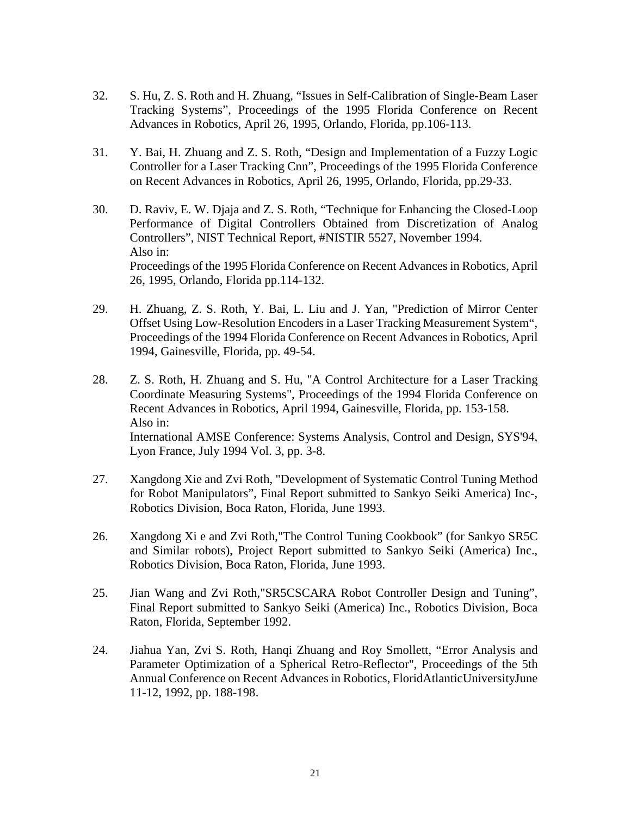- 32. S. Hu, Z. S. Roth and H. Zhuang, "Issues in Self-Calibration of Single-Beam Laser Tracking Systems", Proceedings of the 1995 Florida Conference on Recent Advances in Robotics, April 26, 1995, Orlando, Florida, pp.106-113.
- 31. Y. Bai, H. Zhuang and Z. S. Roth, "Design and Implementation of a Fuzzy Logic Controller for a Laser Tracking Cnn", Proceedings of the 1995 Florida Conference on Recent Advances in Robotics, April 26, 1995, Orlando, Florida, pp.29-33.
- 30. D. Raviv, E. W. Djaja and Z. S. Roth, "Technique for Enhancing the Closed-Loop Performance of Digital Controllers Obtained from Discretization of Analog Controllers", NIST Technical Report, #NISTIR 5527, November 1994. Also in: Proceedings of the 1995 Florida Conference on Recent Advances in Robotics, April 26, 1995, Orlando, Florida pp.114-132.
- 29. H. Zhuang, Z. S. Roth, Y. Bai, L. Liu and J. Yan, "Prediction of Mirror Center Offset Using Low-Resolution Encoders in a Laser Tracking Measurement System", Proceedings of the 1994 Florida Conference on Recent Advances in Robotics, April 1994, Gainesville, Florida, pp. 49-54.
- 28. Z. S. Roth, H. Zhuang and S. Hu, "A Control Architecture for a Laser Tracking Coordinate Measuring Systems", Proceedings of the 1994 Florida Conference on Recent Advances in Robotics, April 1994, Gainesville, Florida, pp. 153-158. Also in: International AMSE Conference: Systems Analysis, Control and Design, SYS'94, Lyon France, July 1994 Vol. 3, pp. 3-8.
- 27. Xangdong Xie and Zvi Roth, "Development of Systematic Control Tuning Method for Robot Manipulators", Final Report submitted to Sankyo Seiki America) Inc-, Robotics Division, Boca Raton, Florida, June 1993.
- 26. Xangdong Xi e and Zvi Roth,"The Control Tuning Cookbook" (for Sankyo SR5C and Similar robots), Project Report submitted to Sankyo Seiki (America) Inc., Robotics Division, Boca Raton, Florida, June 1993.
- 25. Jian Wang and Zvi Roth,"SR5CSCARA Robot Controller Design and Tuning", Final Report submitted to Sankyo Seiki (America) Inc., Robotics Division, Boca Raton, Florida, September 1992.
- 24. Jiahua Yan, Zvi S. Roth, Hanqi Zhuang and Roy Smollett, "Error Analysis and Parameter Optimization of a Spherical Retro-Reflector", Proceedings of the 5th Annual Conference on Recent Advances in Robotics, FloridAtlanticUniversityJune 11-12, 1992, pp. 188-198.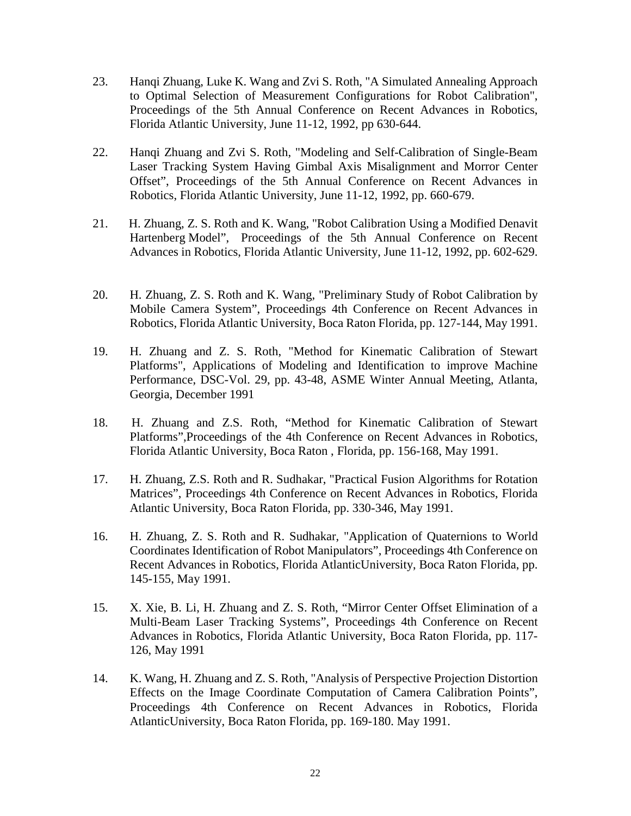- 23. Hanqi Zhuang, Luke K. Wang and Zvi S. Roth, "A Simulated Annealing Approach to Optimal Selection of Measurement Configurations for Robot Calibration", Proceedings of the 5th Annual Conference on Recent Advances in Robotics, Florida Atlantic University, June 11-12, 1992, pp 630-644.
- 22. Hanqi Zhuang and Zvi S. Roth, "Modeling and Self-Calibration of Single-Beam Laser Tracking System Having Gimbal Axis Misalignment and Morror Center Offset", Proceedings of the 5th Annual Conference on Recent Advances in Robotics, Florida Atlantic University, June 11-12, 1992, pp. 660-679.
- 21. H. Zhuang, Z. S. Roth and K. Wang, "Robot Calibration Using a Modified Denavit Hartenberg Model", Proceedings of the 5th Annual Conference on Recent Advances in Robotics, Florida Atlantic University, June 11-12, 1992, pp. 602-629.
- 20. H. Zhuang, Z. S. Roth and K. Wang, "Preliminary Study of Robot Calibration by Mobile Camera System", Proceedings 4th Conference on Recent Advances in Robotics, Florida Atlantic University, Boca Raton Florida, pp. 127-144, May 1991.
- 19. H. Zhuang and Z. S. Roth, "Method for Kinematic Calibration of Stewart Platforms", Applications of Modeling and Identification to improve Machine Performance, DSC-Vol. 29, pp. 43-48, ASME Winter Annual Meeting, Atlanta, Georgia, December 1991
- 18. H. Zhuang and Z.S. Roth, "Method for Kinematic Calibration of Stewart Platforms",Proceedings of the 4th Conference on Recent Advances in Robotics, Florida Atlantic University, Boca Raton , Florida, pp. 156-168, May 1991.
- 17. H. Zhuang, Z.S. Roth and R. Sudhakar, "Practical Fusion Algorithms for Rotation Matrices", Proceedings 4th Conference on Recent Advances in Robotics, Florida Atlantic University, Boca Raton Florida, pp. 330-346, May 1991.
- 16. H. Zhuang, Z. S. Roth and R. Sudhakar, "Application of Quaternions to World Coordinates Identification of Robot Manipulators", Proceedings 4th Conference on Recent Advances in Robotics, Florida AtlanticUniversity, Boca Raton Florida, pp. 145-155, May 1991.
- 15. X. Xie, B. Li, H. Zhuang and Z. S. Roth, "Mirror Center Offset Elimination of a Multi-Beam Laser Tracking Systems", Proceedings 4th Conference on Recent Advances in Robotics, Florida Atlantic University, Boca Raton Florida, pp. 117- 126, May 1991
- 14. K. Wang, H. Zhuang and Z. S. Roth, "Analysis of Perspective Projection Distortion Effects on the Image Coordinate Computation of Camera Calibration Points", Proceedings 4th Conference on Recent Advances in Robotics, Florida AtlanticUniversity, Boca Raton Florida, pp. 169-180. May 1991.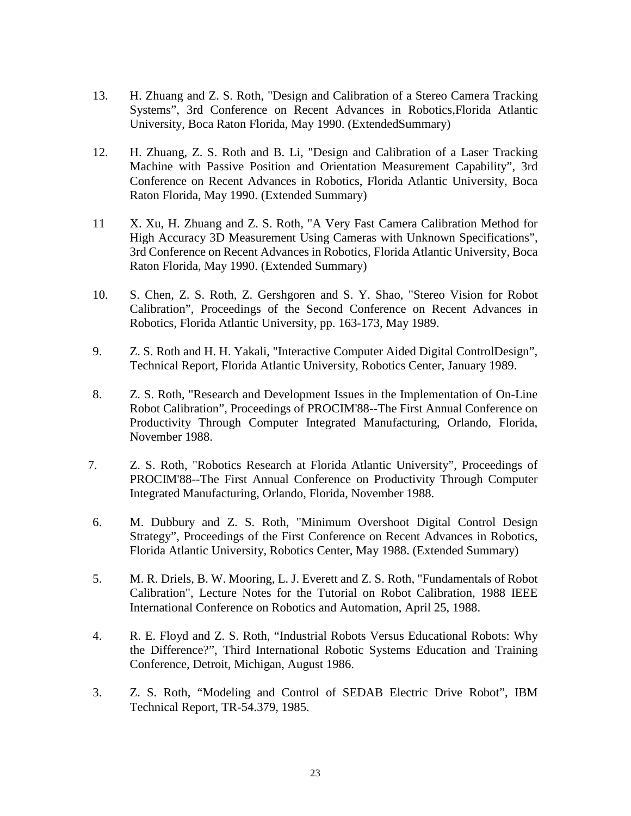- 13. H. Zhuang and Z. S. Roth, "Design and Calibration of a Stereo Camera Tracking Systems", 3rd Conference on Recent Advances in Robotics,Florida Atlantic University, Boca Raton Florida, May 1990. (ExtendedSummary)
- 12. H. Zhuang, Z. S. Roth and B. Li, "Design and Calibration of a Laser Tracking Machine with Passive Position and Orientation Measurement Capability", 3rd Conference on Recent Advances in Robotics, Florida Atlantic University, Boca Raton Florida, May 1990. (Extended Summary)
- 11 X. Xu, H. Zhuang and Z. S. Roth, "A Very Fast Camera Calibration Method for High Accuracy 3D Measurement Using Cameras with Unknown Specifications", 3rd Conference on Recent Advances in Robotics, Florida Atlantic University, Boca Raton Florida, May 1990. (Extended Summary)
- 10. S. Chen, Z. S. Roth, Z. Gershgoren and S. Y. Shao, "Stereo Vision for Robot Calibration", Proceedings of the Second Conference on Recent Advances in Robotics, Florida Atlantic University, pp. 163-173, May 1989.
- 9. Z. S. Roth and H. H. Yakali, "Interactive Computer Aided Digital ControlDesign", Technical Report, Florida Atlantic University, Robotics Center, January 1989.
- 8. Z. S. Roth, "Research and Development Issues in the Implementation of On-Line Robot Calibration", Proceedings of PROCIM'88--The First Annual Conference on Productivity Through Computer Integrated Manufacturing, Orlando, Florida, November 1988.
- 7. Z. S. Roth, "Robotics Research at Florida Atlantic University", Proceedings of PROCIM'88--The First Annual Conference on Productivity Through Computer Integrated Manufacturing, Orlando, Florida, November 1988.
- 6. M. Dubbury and Z. S. Roth, "Minimum Overshoot Digital Control Design Strategy", Proceedings of the First Conference on Recent Advances in Robotics, Florida Atlantic University, Robotics Center, May 1988. (Extended Summary)
- 5. M. R. Driels, B. W. Mooring, L. J. Everett and Z. S. Roth, "Fundamentals of Robot Calibration", Lecture Notes for the Tutorial on Robot Calibration, 1988 IEEE International Conference on Robotics and Automation, April 25, 1988.
- 4. R. E. Floyd and Z. S. Roth, "Industrial Robots Versus Educational Robots: Why the Difference?", Third International Robotic Systems Education and Training Conference, Detroit, Michigan, August 1986.
- 3. Z. S. Roth, "Modeling and Control of SEDAB Electric Drive Robot", IBM Technical Report, TR-54.379, 1985.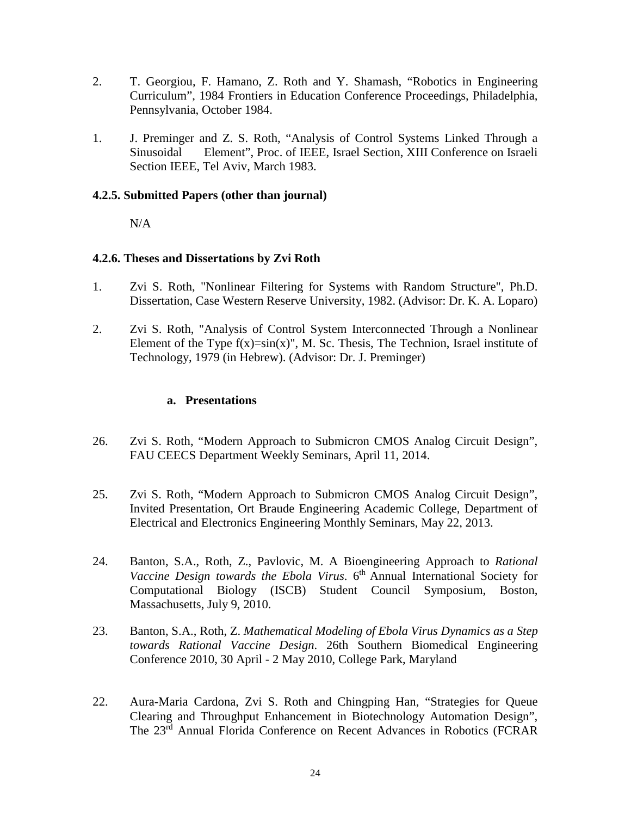- 2. T. Georgiou, F. Hamano, Z. Roth and Y. Shamash, "Robotics in Engineering Curriculum", 1984 Frontiers in Education Conference Proceedings, Philadelphia, Pennsylvania, October 1984.
- 1. J. Preminger and Z. S. Roth, "Analysis of Control Systems Linked Through a Sinusoidal Element", Proc. of IEEE, Israel Section, XIII Conference on Israeli Section IEEE, Tel Aviv, March 1983.

## **4.2.5. Submitted Papers (other than journal)**

N/A

### **4.2.6. Theses and Dissertations by Zvi Roth**

- 1. Zvi S. Roth, "Nonlinear Filtering for Systems with Random Structure", Ph.D. Dissertation, Case Western Reserve University, 1982. (Advisor: Dr. K. A. Loparo)
- 2. Zvi S. Roth, "Analysis of Control System Interconnected Through a Nonlinear Element of the Type  $f(x)=sin(x)$ ", M. Sc. Thesis, The Technion, Israel institute of Technology, 1979 (in Hebrew). (Advisor: Dr. J. Preminger)

## **a. Presentations**

- 26. Zvi S. Roth, "Modern Approach to Submicron CMOS Analog Circuit Design", FAU CEECS Department Weekly Seminars, April 11, 2014.
- 25. Zvi S. Roth, "Modern Approach to Submicron CMOS Analog Circuit Design", Invited Presentation, Ort Braude Engineering Academic College, Department of Electrical and Electronics Engineering Monthly Seminars, May 22, 2013.
- 24. Banton, S.A., Roth, Z., Pavlovic, M. A Bioengineering Approach to *Rational*  Vaccine Design towards the Ebola Virus. 6<sup>th</sup> Annual International Society for Computational Biology (ISCB) Student Council Symposium, Boston, Massachusetts, July 9, 2010.
- 23. Banton, S.A., Roth, Z. *Mathematical Modeling of Ebola Virus Dynamics as a Step towards Rational Vaccine Design*. 26th Southern Biomedical Engineering Conference 2010, 30 April - 2 May 2010, College Park, Maryland
- 22. Aura-Maria Cardona, Zvi S. Roth and Chingping Han, "Strategies for Queue Clearing and Throughput Enhancement in Biotechnology Automation Design", The 23rd Annual Florida Conference on Recent Advances in Robotics (FCRAR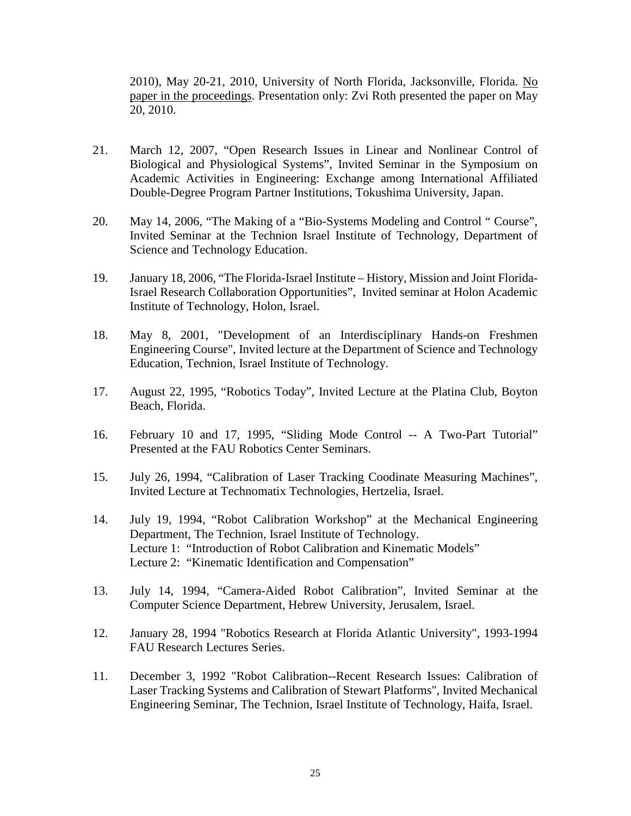2010), May 20-21, 2010, University of North Florida, Jacksonville, Florida. No paper in the proceedings. Presentation only: Zvi Roth presented the paper on May 20, 2010.

- 21. March 12, 2007, "Open Research Issues in Linear and Nonlinear Control of Biological and Physiological Systems", Invited Seminar in the Symposium on Academic Activities in Engineering: Exchange among International Affiliated Double-Degree Program Partner Institutions, Tokushima University, Japan.
- 20. May 14, 2006, "The Making of a "Bio-Systems Modeling and Control " Course", Invited Seminar at the Technion Israel Institute of Technology, Department of Science and Technology Education.
- 19. January 18, 2006, "The Florida-Israel Institute History, Mission and Joint Florida-Israel Research Collaboration Opportunities", Invited seminar at Holon Academic Institute of Technology, Holon, Israel.
- 18. May 8, 2001, "Development of an Interdisciplinary Hands-on Freshmen Engineering Course", Invited lecture at the Department of Science and Technology Education, Technion, Israel Institute of Technology.
- 17. August 22, 1995, "Robotics Today", Invited Lecture at the Platina Club, Boyton Beach, Florida.
- 16. February 10 and 17, 1995, "Sliding Mode Control -- A Two-Part Tutorial" Presented at the FAU Robotics Center Seminars.
- 15. July 26, 1994, "Calibration of Laser Tracking Coodinate Measuring Machines", Invited Lecture at Technomatix Technologies, Hertzelia, Israel.
- 14. July 19, 1994, "Robot Calibration Workshop" at the Mechanical Engineering Department, The Technion, Israel Institute of Technology. Lecture 1: "Introduction of Robot Calibration and Kinematic Models" Lecture 2: "Kinematic Identification and Compensation"
- 13. July 14, 1994, "Camera-Aided Robot Calibration", Invited Seminar at the Computer Science Department, Hebrew University, Jerusalem, Israel.
- 12. January 28, 1994 "Robotics Research at Florida Atlantic University", 1993-1994 FAU Research Lectures Series.
- 11. December 3, 1992 "Robot Calibration--Recent Research Issues: Calibration of Laser Tracking Systems and Calibration of Stewart Platforms", Invited Mechanical Engineering Seminar, The Technion, Israel Institute of Technology, Haifa, Israel.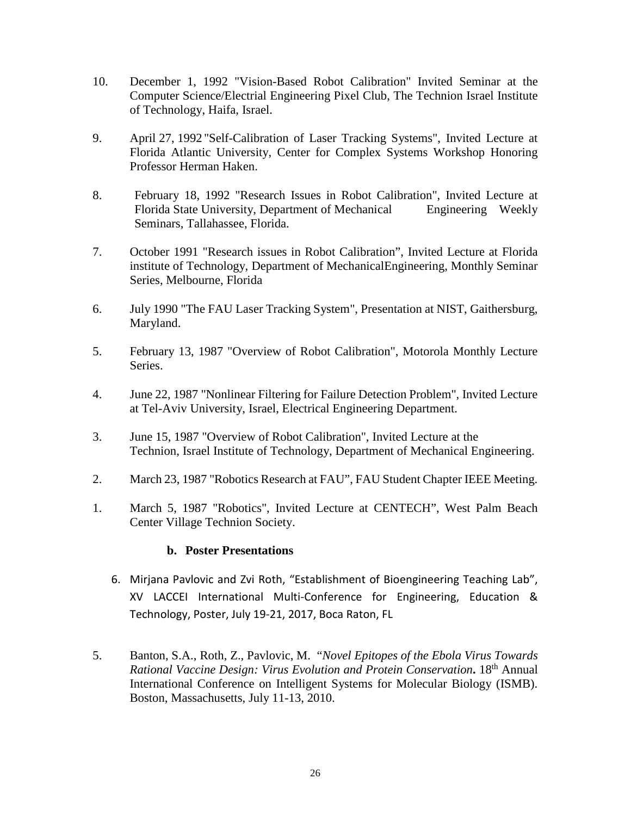- 10. December 1, 1992 "Vision-Based Robot Calibration" Invited Seminar at the Computer Science/Electrial Engineering Pixel Club, The Technion Israel Institute of Technology, Haifa, Israel.
- 9. April 27, 1992 "Self-Calibration of Laser Tracking Systems", Invited Lecture at Florida Atlantic University, Center for Complex Systems Workshop Honoring Professor Herman Haken.
- 8. February 18, 1992 "Research Issues in Robot Calibration", Invited Lecture at Florida State University, Department of Mechanical Engineering Weekly Seminars, Tallahassee, Florida.
- 7. October 1991 "Research issues in Robot Calibration", Invited Lecture at Florida institute of Technology, Department of MechanicalEngineering, Monthly Seminar Series, Melbourne, Florida
- 6. July 1990 "The FAU Laser Tracking System", Presentation at NIST, Gaithersburg, Maryland.
- 5. February 13, 1987 "Overview of Robot Calibration", Motorola Monthly Lecture Series.
- 4. June 22, 1987 "Nonlinear Filtering for Failure Detection Problem", Invited Lecture at Tel-Aviv University, Israel, Electrical Engineering Department.
- 3. June 15, 1987 "Overview of Robot Calibration", Invited Lecture at the Technion, Israel Institute of Technology, Department of Mechanical Engineering.
- 2. March 23, 1987 "Robotics Research at FAU", FAU Student Chapter IEEE Meeting.
- 1. March 5, 1987 "Robotics", Invited Lecture at CENTECH", West Palm Beach Center Village Technion Society.

# **b. Poster Presentations**

- 6. Mirjana Pavlovic and Zvi Roth, "Establishment of Bioengineering Teaching Lab", XV LACCEI International Multi-Conference for Engineering, Education & Technology, Poster, July 19-21, 2017, Boca Raton, FL
- 5. Banton, S.A., Roth, Z., Pavlovic, M. "*Novel Epitopes of the Ebola Virus Towards Rational Vaccine Design: Virus Evolution and Protein Conservation***.** 18th Annual International Conference on Intelligent Systems for Molecular Biology (ISMB). Boston, Massachusetts, July 11-13, 2010.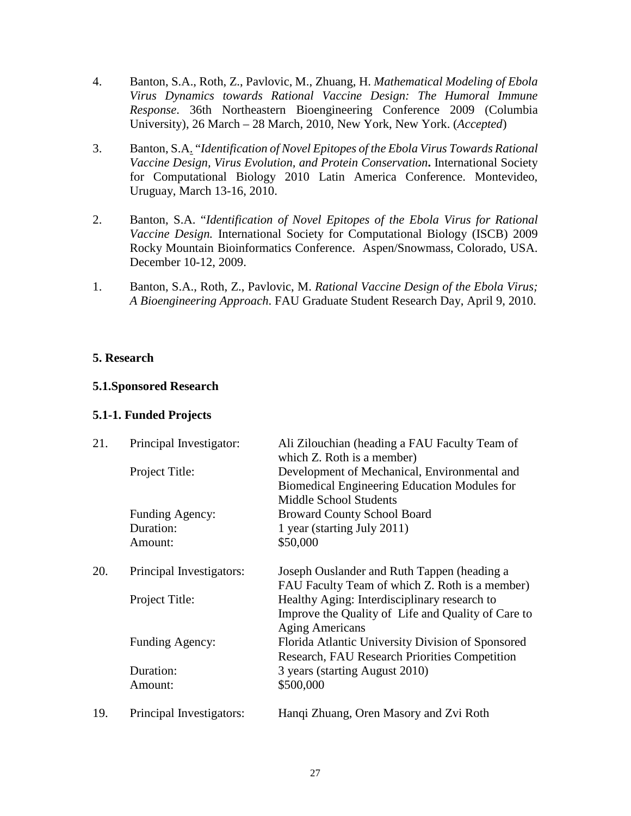- 4. Banton, S.A., Roth, Z., Pavlovic, M., Zhuang, H. *Mathematical Modeling of Ebola Virus Dynamics towards Rational Vaccine Design: The Humoral Immune Response*. 36th Northeastern Bioengineering Conference 2009 (Columbia University), 26 March – 28 March, 2010, New York, New York. (*Accepted*)
- 3. Banton, S.A. "*Identification of Novel Epitopes of the Ebola Virus Towards Rational Vaccine Design, Virus Evolution, and Protein Conservation***.** International Society for Computational Biology 2010 Latin America Conference. Montevideo, Uruguay, March 13-16, 2010.
- 2. Banton, S.A. "*Identification of Novel Epitopes of the Ebola Virus for Rational Vaccine Design.* International Society for Computational Biology (ISCB) 2009 Rocky Mountain Bioinformatics Conference. Aspen/Snowmass, Colorado, USA. December 10-12, 2009.
- 1. Banton, S.A., Roth, Z., Pavlovic, M. *Rational Vaccine Design of the Ebola Virus; A Bioengineering Approach*. FAU Graduate Student Research Day, April 9, 2010.

# **5. Research**

### **5.1.Sponsored Research**

### **5.1-1. Funded Projects**

| 21. | Principal Investigator:  | Ali Zilouchian (heading a FAU Faculty Team of<br>which Z. Roth is a member)                                                  |
|-----|--------------------------|------------------------------------------------------------------------------------------------------------------------------|
|     | Project Title:           | Development of Mechanical, Environmental and                                                                                 |
|     |                          | Biomedical Engineering Education Modules for                                                                                 |
|     |                          | <b>Middle School Students</b>                                                                                                |
|     | Funding Agency:          | <b>Broward County School Board</b>                                                                                           |
|     | Duration:                | 1 year (starting July 2011)                                                                                                  |
|     | Amount:                  | \$50,000                                                                                                                     |
| 20. | Principal Investigators: | Joseph Ouslander and Ruth Tappen (heading a<br>FAU Faculty Team of which Z. Roth is a member)                                |
|     | Project Title:           | Healthy Aging: Interdisciplinary research to<br>Improve the Quality of Life and Quality of Care to                           |
|     | Funding Agency:          | <b>Aging Americans</b><br>Florida Atlantic University Division of Sponsored<br>Research, FAU Research Priorities Competition |
|     | Duration:                | 3 years (starting August 2010)                                                                                               |
|     | Amount:                  | \$500,000                                                                                                                    |
| 19. | Principal Investigators: | Hanqi Zhuang, Oren Masory and Zvi Roth                                                                                       |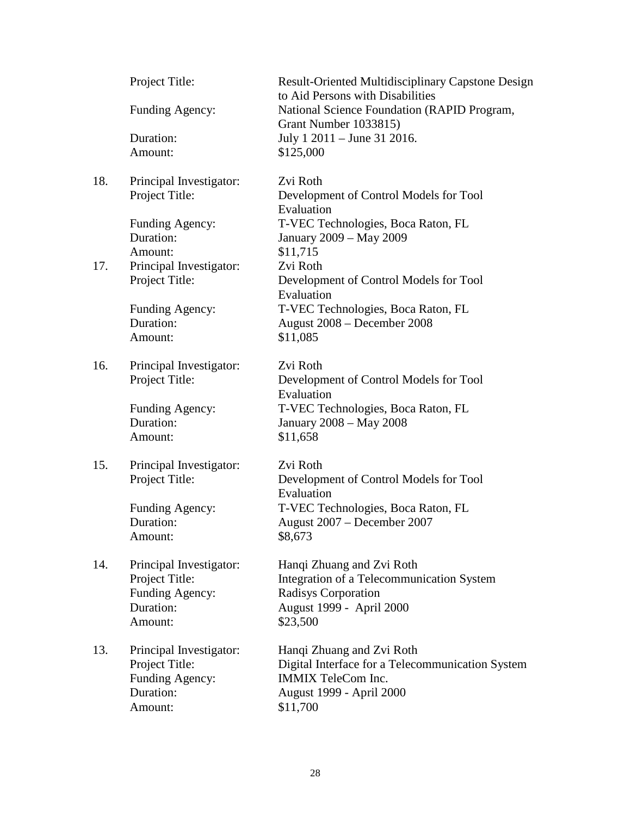|     | Project Title:          | Result-Oriented Multidisciplinary Capstone Design<br>to Aid Persons with Disabilities |
|-----|-------------------------|---------------------------------------------------------------------------------------|
|     | Funding Agency:         | National Science Foundation (RAPID Program,<br>Grant Number 1033815)                  |
|     | Duration:               | July 1 2011 – June 31 2016.                                                           |
|     | Amount:                 | \$125,000                                                                             |
|     |                         |                                                                                       |
| 18. | Principal Investigator: | Zvi Roth                                                                              |
|     | Project Title:          | Development of Control Models for Tool<br>Evaluation                                  |
|     | Funding Agency:         | T-VEC Technologies, Boca Raton, FL                                                    |
|     | Duration:               | January 2009 - May 2009                                                               |
|     | Amount:                 | \$11,715                                                                              |
| 17. | Principal Investigator: | Zvi Roth                                                                              |
|     | Project Title:          | Development of Control Models for Tool                                                |
|     |                         | Evaluation                                                                            |
|     | Funding Agency:         | T-VEC Technologies, Boca Raton, FL                                                    |
|     | Duration:               | August 2008 - December 2008                                                           |
|     | Amount:                 | \$11,085                                                                              |
|     |                         |                                                                                       |
| 16. | Principal Investigator: | Zvi Roth                                                                              |
|     | Project Title:          | Development of Control Models for Tool                                                |
|     |                         | Evaluation                                                                            |
|     | Funding Agency:         | T-VEC Technologies, Boca Raton, FL                                                    |
|     | Duration:               | January 2008 - May 2008                                                               |
|     | Amount:                 | \$11,658                                                                              |
|     |                         |                                                                                       |
| 15. | Principal Investigator: | Zvi Roth                                                                              |
|     | Project Title:          | Development of Control Models for Tool                                                |
|     |                         | Evaluation                                                                            |
|     | Funding Agency:         | T-VEC Technologies, Boca Raton, FL                                                    |
|     | Duration:               | August 2007 - December 2007                                                           |
|     | Amount:                 | \$8,673                                                                               |
|     |                         |                                                                                       |
| 14. | Principal Investigator: | Hanqi Zhuang and Zvi Roth                                                             |
|     | Project Title:          | Integration of a Telecommunication System                                             |
|     | Funding Agency:         | <b>Radisys Corporation</b>                                                            |
|     | Duration:               | August 1999 - April 2000                                                              |
|     | Amount:                 | \$23,500                                                                              |
|     |                         |                                                                                       |
| 13. | Principal Investigator: | Hanqi Zhuang and Zvi Roth                                                             |
|     | Project Title:          | Digital Interface for a Telecommunication System                                      |
|     | Funding Agency:         | <b>IMMIX TeleCom Inc.</b>                                                             |
|     | Duration:               | August 1999 - April 2000                                                              |
|     | Amount:                 | \$11,700                                                                              |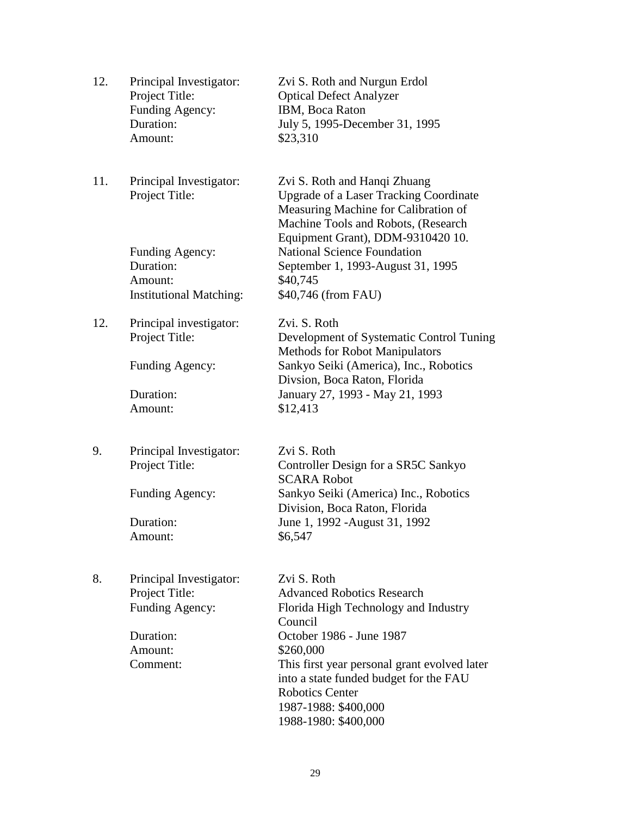| 12. | Principal Investigator:<br>Project Title:<br>Funding Agency:<br>Duration:<br>Amount: | Zvi S. Roth and Nurgun Erdol<br><b>Optical Defect Analyzer</b><br>IBM, Boca Raton<br>July 5, 1995-December 31, 1995<br>\$23,310                                                                   |
|-----|--------------------------------------------------------------------------------------|---------------------------------------------------------------------------------------------------------------------------------------------------------------------------------------------------|
| 11. | Principal Investigator:<br>Project Title:                                            | Zvi S. Roth and Hanqi Zhuang<br><b>Upgrade of a Laser Tracking Coordinate</b><br>Measuring Machine for Calibration of<br>Machine Tools and Robots, (Research<br>Equipment Grant), DDM-9310420 10. |
|     | Funding Agency:<br>Duration:<br>Amount:<br><b>Institutional Matching:</b>            | <b>National Science Foundation</b><br>September 1, 1993-August 31, 1995<br>\$40,745<br>\$40,746 (from FAU)                                                                                        |
| 12. | Principal investigator:<br>Project Title:                                            | Zvi. S. Roth<br>Development of Systematic Control Tuning<br><b>Methods for Robot Manipulators</b>                                                                                                 |
|     | Funding Agency:                                                                      | Sankyo Seiki (America), Inc., Robotics<br>Divsion, Boca Raton, Florida                                                                                                                            |
|     | Duration:                                                                            | January 27, 1993 - May 21, 1993                                                                                                                                                                   |
|     | Amount:                                                                              | \$12,413                                                                                                                                                                                          |
| 9.  | Principal Investigator:                                                              | Zvi S. Roth                                                                                                                                                                                       |
|     | Project Title:                                                                       | Controller Design for a SR5C Sankyo<br><b>SCARA Robot</b>                                                                                                                                         |
|     | Funding Agency:                                                                      | Sankyo Seiki (America) Inc., Robotics<br>Division, Boca Raton, Florida                                                                                                                            |
|     | Duration:                                                                            | June 1, 1992 - August 31, 1992                                                                                                                                                                    |
|     | Amount:                                                                              | \$6,547                                                                                                                                                                                           |
| 8.  | Principal Investigator:                                                              | Zvi S. Roth                                                                                                                                                                                       |
|     | Project Title:                                                                       | <b>Advanced Robotics Research</b>                                                                                                                                                                 |
|     | Funding Agency:                                                                      | Florida High Technology and Industry<br>Council                                                                                                                                                   |
|     | Duration:                                                                            | October 1986 - June 1987                                                                                                                                                                          |
|     | Amount:<br>Comment:                                                                  | \$260,000<br>This first year personal grant evolved later                                                                                                                                         |
|     |                                                                                      | into a state funded budget for the FAU<br><b>Robotics Center</b><br>1987-1988: \$400,000                                                                                                          |
|     |                                                                                      | 1988-1980: \$400,000                                                                                                                                                                              |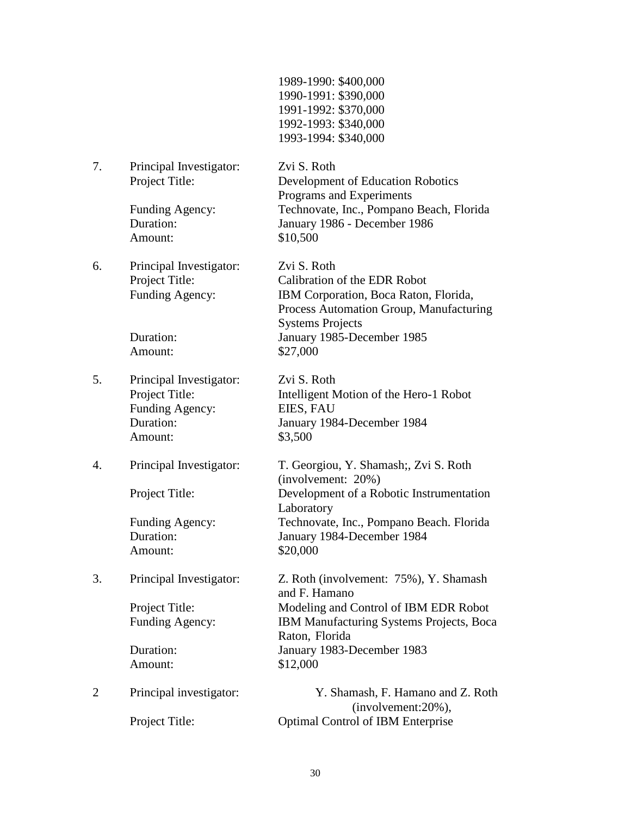| 1989-1990: \$400,000 |
|----------------------|
| 1990-1991: \$390,000 |
| 1991-1992: \$370,000 |
| 1992-1993: \$340,000 |
| 1993-1994: \$340,000 |

7. Principal Investigator: Zvi S. Roth

Amount: \$10,500

6. Principal Investigator: Zvi S. Roth

Amount: \$27,000

5. Principal Investigator: Zvi S. Roth Funding Agency: EIES, FAU Amount: \$3,500

Amount: \$20,000

Project Title: Development of Education Robotics Programs and Experiments Funding Agency: Technovate, Inc., Pompano Beach, Florida Duration: January 1986 - December 1986

Project Title: Calibration of the EDR Robot Funding Agency: IBM Corporation, Boca Raton, Florida, Process Automation Group, Manufacturing Systems Projects Duration: January 1985-December 1985

Project Title: Intelligent Motion of the Hero-1 Robot Duration: January 1984-December 1984

4. Principal Investigator: T. Georgiou, Y. Shamash;, Zvi S. Roth (involvement: 20%) Project Title: Development of a Robotic Instrumentation Laboratory Funding Agency: Technovate, Inc., Pompano Beach. Florida Duration: January 1984-December 1984

3. Principal Investigator: Z. Roth (involvement: 75%), Y. Shamash and F. Hamano Project Title: Modeling and Control of IBM EDR Robot Funding Agency: IBM Manufacturing Systems Projects, Boca Raton, Florida Duration: January 1983-December 1983 Amount: \$12,000

2 Principal investigator: Y. Shamash, F. Hamano and Z. Roth (involvement:20%), Project Title: Optimal Control of IBM Enterprise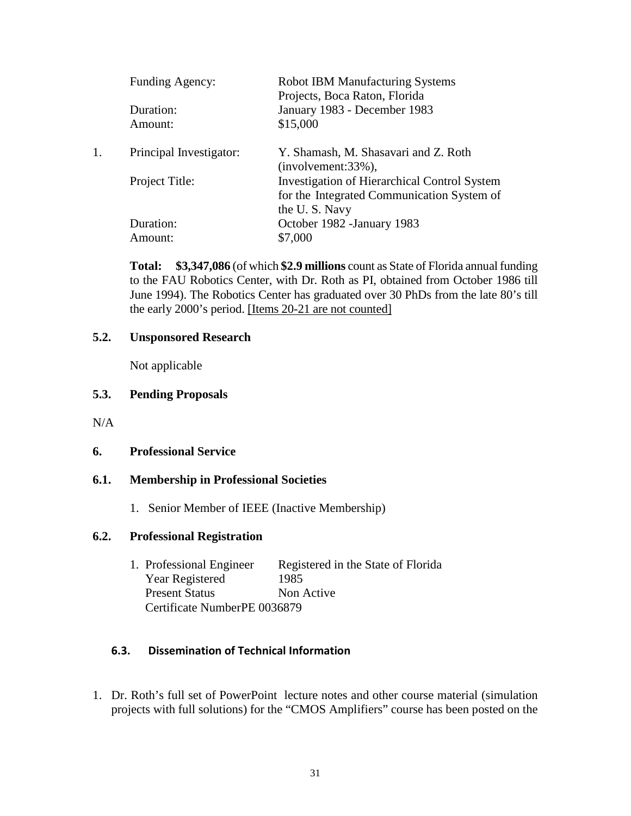| Funding Agency:         | <b>Robot IBM Manufacturing Systems</b>                        |
|-------------------------|---------------------------------------------------------------|
|                         | Projects, Boca Raton, Florida                                 |
| Duration:               | January 1983 - December 1983                                  |
| Amount:                 | \$15,000                                                      |
| Principal Investigator: | Y. Shamash, M. Shasavari and Z. Roth<br>$(involvement:33\%),$ |
| Project Title:          | <b>Investigation of Hierarchical Control System</b>           |
|                         | for the Integrated Communication System of                    |
|                         | the U.S. Navy                                                 |
| Duration:               | October 1982 - January 1983                                   |
| Amount:                 | \$7,000                                                       |
|                         |                                                               |

**Total: \$3,347,086** (of which **\$2.9 millions** count as State of Florida annual funding to the FAU Robotics Center, with Dr. Roth as PI, obtained from October 1986 till June 1994). The Robotics Center has graduated over 30 PhDs from the late 80's till the early 2000's period. [Items 20-21 are not counted]

## **5.2. Unsponsored Research**

Not applicable

## **5.3. Pending Proposals**

 $N/A$ 

### **6. Professional Service**

### **6.1. Membership in Professional Societies**

1. Senior Member of IEEE (Inactive Membership)

### **6.2. Professional Registration**

1. Professional Engineer Registered in the State of Florida Year Registered 1985 Present Status Non Active Certificate NumberPE 0036879

# **6.3. Dissemination of Technical Information**

1. Dr. Roth's full set of PowerPoint lecture notes and other course material (simulation projects with full solutions) for the "CMOS Amplifiers" course has been posted on the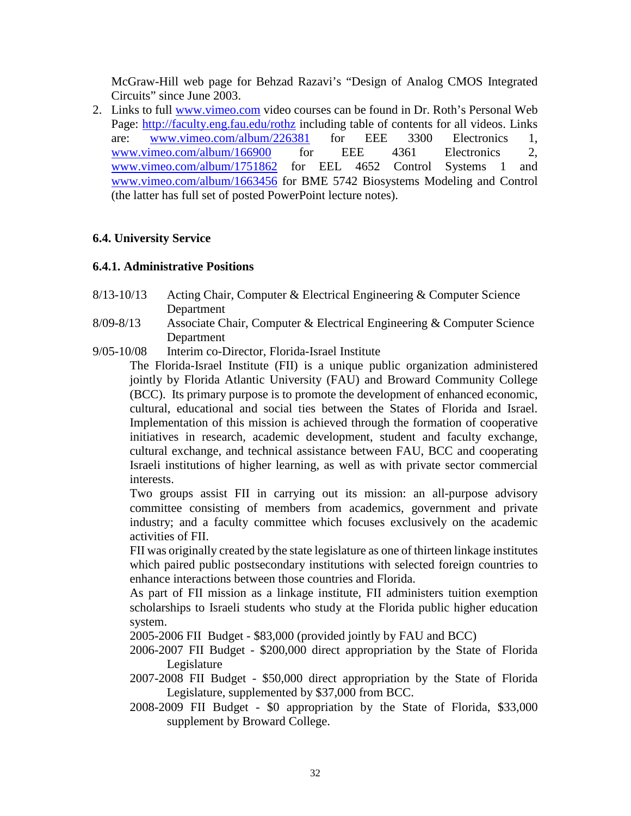McGraw-Hill web page for Behzad Razavi's "Design of Analog CMOS Integrated Circuits" since June 2003.

2. Links to full [www.vimeo.com](http://www.vimeo.com/) video courses can be found in Dr. Roth's Personal Web Page:<http://faculty.eng.fau.edu/rothz> including table of contents for all videos. Links are: [www.vimeo.com/album/226381](http://www.vimeo.com/album/226381) for EEE 3300 Electronics 1, [www.vimeo.com/album/166900](http://www.vimeo.com/album/166900) for EEE 4361 Electronics 2, [www.vimeo.com/album/1751862](http://www.vimeo.com/album/1751862) for EEL 4652 Control Systems 1 and [www.vimeo.com/album/1663456](http://www.vimeo.com/album/1663456) for BME 5742 Biosystems Modeling and Control (the latter has full set of posted PowerPoint lecture notes).

# **6.4. University Service**

### **6.4.1. Administrative Positions**

- 8/13-10/13 Acting Chair, Computer & Electrical Engineering & Computer Science Department
- 8/09-8/13 Associate Chair, Computer & Electrical Engineering & Computer Science Department
- 9/05-10/08 Interim co-Director, Florida-Israel Institute

The Florida-Israel Institute (FII) is a unique public organization administered jointly by Florida Atlantic University (FAU) and Broward Community College (BCC). Its primary purpose is to promote the development of enhanced economic, cultural, educational and social ties between the States of Florida and Israel. Implementation of this mission is achieved through the formation of cooperative initiatives in research, academic development, student and faculty exchange, cultural exchange, and technical assistance between FAU, BCC and cooperating Israeli institutions of higher learning, as well as with private sector commercial interests.

Two groups assist FII in carrying out its mission: an all-purpose advisory committee consisting of members from academics, government and private industry; and a faculty committee which focuses exclusively on the academic activities of FII.

FII was originally created by the state legislature as one of thirteen linkage institutes which paired public postsecondary institutions with selected foreign countries to enhance interactions between those countries and Florida.

As part of FII mission as a linkage institute, FII administers tuition exemption scholarships to Israeli students who study at the Florida public higher education system.

2005-2006 FII Budget - \$83,000 (provided jointly by FAU and BCC)

- 2006-2007 FII Budget \$200,000 direct appropriation by the State of Florida Legislature
- 2007-2008 FII Budget \$50,000 direct appropriation by the State of Florida Legislature, supplemented by \$37,000 from BCC.
- 2008-2009 FII Budget \$0 appropriation by the State of Florida, \$33,000 supplement by Broward College.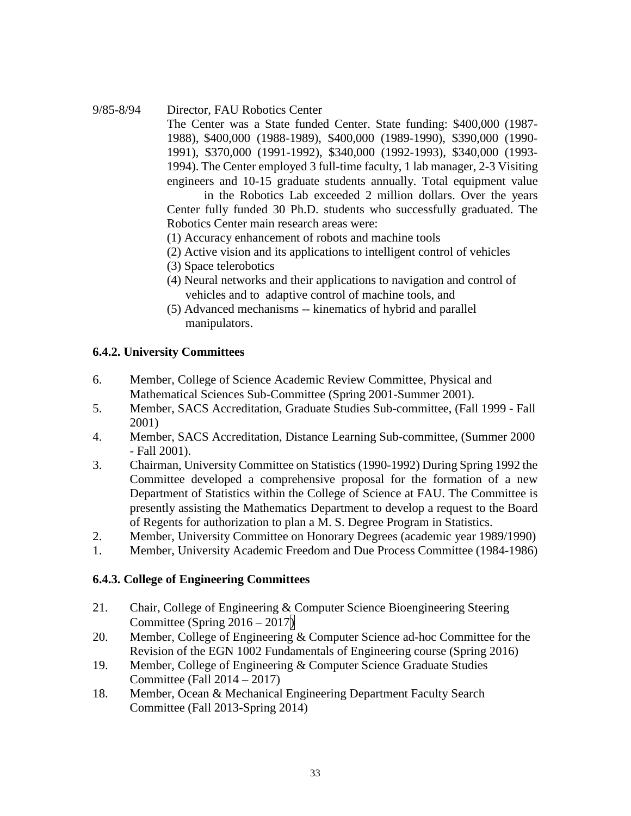#### 9/85-8/94 Director, FAU Robotics Center

The Center was a State funded Center. State funding: \$400,000 (1987- 1988), \$400,000 (1988-1989), \$400,000 (1989-1990), \$390,000 (1990- 1991), \$370,000 (1991-1992), \$340,000 (1992-1993), \$340,000 (1993- 1994). The Center employed 3 full-time faculty, 1 lab manager, 2-3 Visiting engineers and 10-15 graduate students annually. Total equipment value

in the Robotics Lab exceeded 2 million dollars. Over the years Center fully funded 30 Ph.D. students who successfully graduated. The Robotics Center main research areas were:

- (1) Accuracy enhancement of robots and machine tools
- (2) Active vision and its applications to intelligent control of vehicles
- (3) Space telerobotics
- (4) Neural networks and their applications to navigation and control of vehicles and to adaptive control of machine tools, and
- (5) Advanced mechanisms -- kinematics of hybrid and parallel manipulators.

### **6.4.2. University Committees**

- 6. Member, College of Science Academic Review Committee, Physical and Mathematical Sciences Sub-Committee (Spring 2001-Summer 2001).
- 5. Member, SACS Accreditation, Graduate Studies Sub-committee, (Fall 1999 Fall 2001)
- 4. Member, SACS Accreditation, Distance Learning Sub-committee, (Summer 2000 - Fall 2001).
- 3. Chairman, University Committee on Statistics (1990-1992) During Spring 1992 the Committee developed a comprehensive proposal for the formation of a new Department of Statistics within the College of Science at FAU. The Committee is presently assisting the Mathematics Department to develop a request to the Board of Regents for authorization to plan a M. S. Degree Program in Statistics.
- 2. Member, University Committee on Honorary Degrees (academic year 1989/1990)
- 1. Member, University Academic Freedom and Due Process Committee (1984-1986)

### **6.4.3. College of Engineering Committees**

- 21. Chair, College of Engineering & Computer Science Bioengineering Steering Committee (Spring  $2016 - 2017$ )
- 20. Member, College of Engineering & Computer Science ad-hoc Committee for the Revision of the EGN 1002 Fundamentals of Engineering course (Spring 2016)
- 19. Member, College of Engineering & Computer Science Graduate Studies Committee (Fall 2014 – 2017)
- 18. Member, Ocean & Mechanical Engineering Department Faculty Search Committee (Fall 2013-Spring 2014)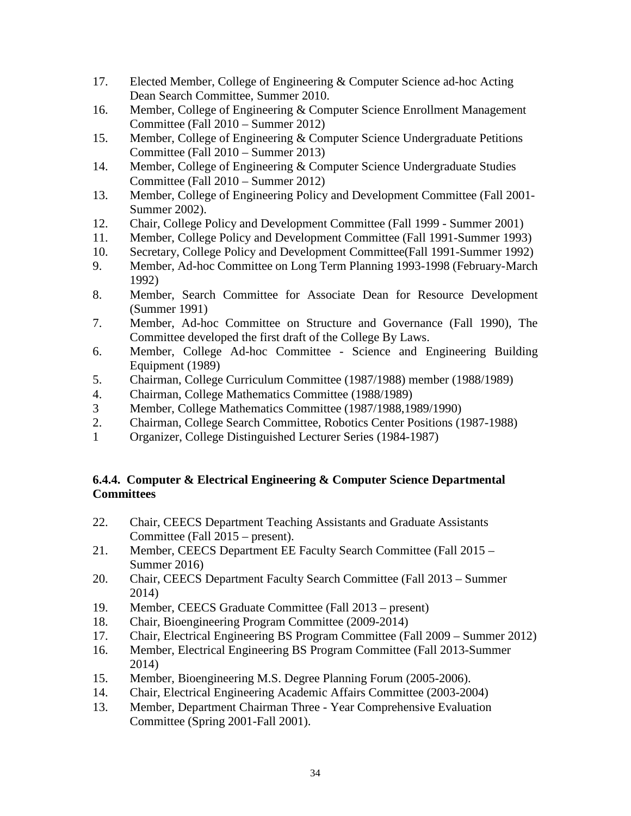- 17. Elected Member, College of Engineering & Computer Science ad-hoc Acting Dean Search Committee, Summer 2010.
- 16. Member, College of Engineering & Computer Science Enrollment Management Committee (Fall 2010 – Summer 2012)
- 15. Member, College of Engineering & Computer Science Undergraduate Petitions Committee (Fall 2010 – Summer 2013)
- 14. Member, College of Engineering & Computer Science Undergraduate Studies Committee (Fall 2010 – Summer 2012)
- 13. Member, College of Engineering Policy and Development Committee (Fall 2001- Summer 2002).
- 12. Chair, College Policy and Development Committee (Fall 1999 Summer 2001)
- 11. Member, College Policy and Development Committee (Fall 1991-Summer 1993)
- 10. Secretary, College Policy and Development Committee(Fall 1991-Summer 1992)
- 9. Member, Ad-hoc Committee on Long Term Planning 1993-1998 (February-March 1992)
- 8. Member, Search Committee for Associate Dean for Resource Development (Summer 1991)
- 7. Member, Ad-hoc Committee on Structure and Governance (Fall 1990), The Committee developed the first draft of the College By Laws.
- 6. Member, College Ad-hoc Committee Science and Engineering Building Equipment (1989)
- 5. Chairman, College Curriculum Committee (1987/1988) member (1988/1989)
- 4. Chairman, College Mathematics Committee (1988/1989)<br>3 Member. College Mathematics Committee (1987/1988.19
- Member, College Mathematics Committee (1987/1988,1989/1990)
- 2. Chairman, College Search Committee, Robotics Center Positions (1987-1988)
- 1 Organizer, College Distinguished Lecturer Series (1984-1987)

# **6.4.4. Computer & Electrical Engineering & Computer Science Departmental Committees**

- 22. Chair, CEECS Department Teaching Assistants and Graduate Assistants Committee (Fall 2015 – present).
- 21. Member, CEECS Department EE Faculty Search Committee (Fall 2015 Summer 2016)
- 20. Chair, CEECS Department Faculty Search Committee (Fall 2013 Summer 2014)
- 19. Member, CEECS Graduate Committee (Fall 2013 present)
- 18. Chair, Bioengineering Program Committee (2009-2014)
- 17. Chair, Electrical Engineering BS Program Committee (Fall 2009 Summer 2012)
- 16. Member, Electrical Engineering BS Program Committee (Fall 2013-Summer 2014)
- 15. Member, Bioengineering M.S. Degree Planning Forum (2005-2006).
- 14. Chair, Electrical Engineering Academic Affairs Committee (2003-2004)
- 13. Member, Department Chairman Three Year Comprehensive Evaluation Committee (Spring 2001-Fall 2001).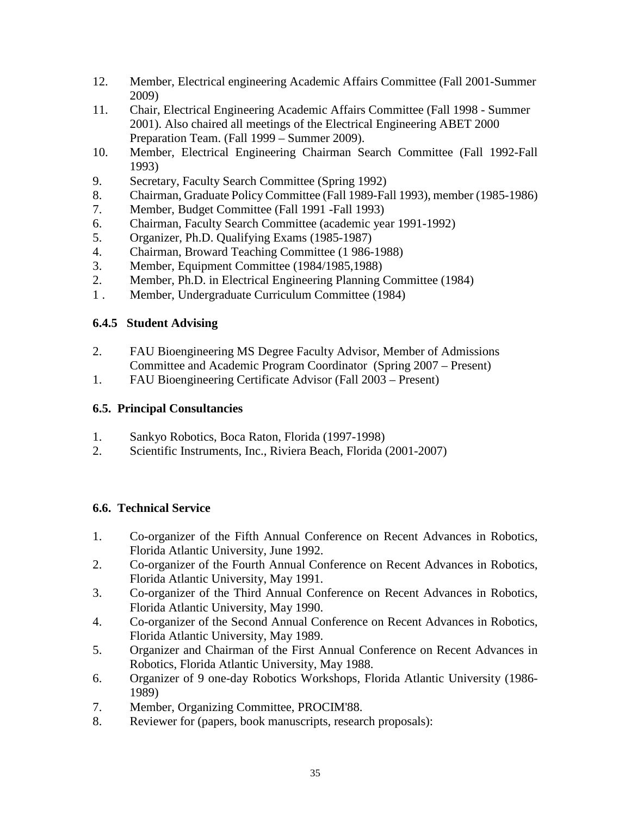- 12. Member, Electrical engineering Academic Affairs Committee (Fall 2001-Summer 2009)
- 11. Chair, Electrical Engineering Academic Affairs Committee (Fall 1998 Summer 2001). Also chaired all meetings of the Electrical Engineering ABET 2000 Preparation Team. (Fall 1999 – Summer 2009).
- 10. Member, Electrical Engineering Chairman Search Committee (Fall 1992-Fall 1993)
- 9. Secretary, Faculty Search Committee (Spring 1992)
- 8. Chairman, Graduate Policy Committee (Fall 1989-Fall 1993), member (1985-1986)
- 7. Member, Budget Committee (Fall 1991 -Fall 1993)
- 6. Chairman, Faculty Search Committee (academic year 1991-1992)
- 5. Organizer, Ph.D. Qualifying Exams (1985-1987)
- 4. Chairman, Broward Teaching Committee (1 986-1988)
- 3. Member, Equipment Committee (1984/1985,1988)
- 2. Member, Ph.D. in Electrical Engineering Planning Committee (1984)
- 1 . Member, Undergraduate Curriculum Committee (1984)

# **6.4.5 Student Advising**

- 2. FAU Bioengineering MS Degree Faculty Advisor, Member of Admissions Committee and Academic Program Coordinator (Spring 2007 – Present)
- 1. FAU Bioengineering Certificate Advisor (Fall 2003 Present)

# **6.5. Principal Consultancies**

- 1. Sankyo Robotics, Boca Raton, Florida (1997-1998)
- 2. Scientific Instruments, Inc., Riviera Beach, Florida (2001-2007)

# **6.6. Technical Service**

- 1. Co-organizer of the Fifth Annual Conference on Recent Advances in Robotics, Florida Atlantic University, June 1992.
- 2. Co-organizer of the Fourth Annual Conference on Recent Advances in Robotics, Florida Atlantic University, May 1991.
- 3. Co-organizer of the Third Annual Conference on Recent Advances in Robotics, Florida Atlantic University, May 1990.
- 4. Co-organizer of the Second Annual Conference on Recent Advances in Robotics, Florida Atlantic University, May 1989.
- 5. Organizer and Chairman of the First Annual Conference on Recent Advances in Robotics, Florida Atlantic University, May 1988.
- 6. Organizer of 9 one-day Robotics Workshops, Florida Atlantic University (1986- 1989)
- 7. Member, Organizing Committee, PROCIM'88.
- 8. Reviewer for (papers, book manuscripts, research proposals):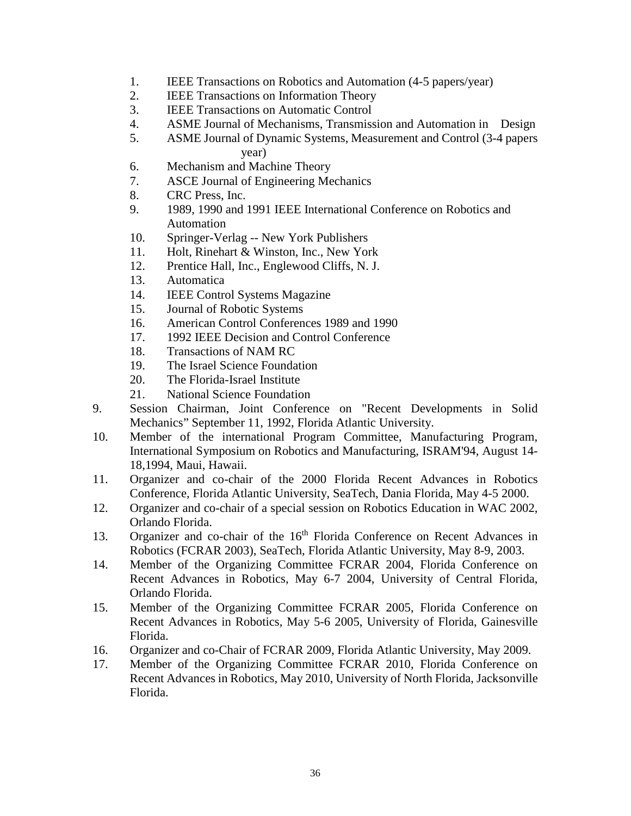- 1. IEEE Transactions on Robotics and Automation (4-5 papers/year)
- 2. IEEE Transactions on Information Theory
- 3. IEEE Transactions on Automatic Control
- 4. ASME Journal of Mechanisms, Transmission and Automation in Design
- 5. ASME Journal of Dynamic Systems, Measurement and Control (3-4 papers year)
- 6. Mechanism and Machine Theory
- 7. ASCE Journal of Engineering Mechanics
- 8. CRC Press, Inc.
- 9. 1989, 1990 and 1991 IEEE International Conference on Robotics and Automation
- 10. Springer-Verlag -- New York Publishers
- 11. Holt, Rinehart & Winston, Inc., New York
- 12. Prentice Hall, Inc., Englewood Cliffs, N. J.
- 13. Automatica
- 14. IEEE Control Systems Magazine
- 15. Journal of Robotic Systems
- 16. American Control Conferences 1989 and 1990
- 17. 1992 IEEE Decision and Control Conference
- 18. Transactions of NAM RC
- 19. The Israel Science Foundation
- 20. The Florida-Israel Institute
- 21. National Science Foundation
- 9. Session Chairman, Joint Conference on "Recent Developments in Solid Mechanics" September 11, 1992, Florida Atlantic University.
- 10. Member of the international Program Committee, Manufacturing Program, International Symposium on Robotics and Manufacturing, ISRAM'94, August 14- 18,1994, Maui, Hawaii.
- 11. Organizer and co-chair of the 2000 Florida Recent Advances in Robotics Conference, Florida Atlantic University, SeaTech, Dania Florida, May 4-5 2000.
- 12. Organizer and co-chair of a special session on Robotics Education in WAC 2002, Orlando Florida.
- 13. Organizer and co-chair of the 16<sup>th</sup> Florida Conference on Recent Advances in Robotics (FCRAR 2003), SeaTech, Florida Atlantic University, May 8-9, 2003.
- 14. Member of the Organizing Committee FCRAR 2004, Florida Conference on Recent Advances in Robotics, May 6-7 2004, University of Central Florida, Orlando Florida.
- 15. Member of the Organizing Committee FCRAR 2005, Florida Conference on Recent Advances in Robotics, May 5-6 2005, University of Florida, Gainesville Florida.
- 16. Organizer and co-Chair of FCRAR 2009, Florida Atlantic University, May 2009.
- 17. Member of the Organizing Committee FCRAR 2010, Florida Conference on Recent Advances in Robotics, May 2010, University of North Florida, Jacksonville Florida.